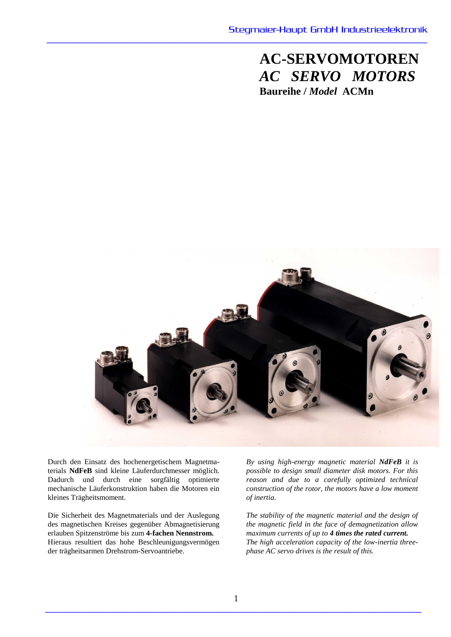**AC-SERVOMOTOREN** *AC SERVO MOTORS* **Baureihe /** *Model* **ACMn**



**\_\_\_\_\_\_\_\_\_\_\_\_\_\_\_\_\_\_\_\_\_\_\_\_\_\_\_\_\_\_\_\_\_\_\_\_\_\_\_\_\_\_\_\_\_\_\_\_\_\_\_\_\_\_\_\_\_\_\_\_\_\_\_\_\_\_\_\_\_\_\_\_\_\_\_\_\_\_\_\_\_\_\_\_\_\_\_\_\_\_\_**

Durch den Einsatz des hochenergetischem Magnetmaterials **NdFeB** sind kleine Läuferdurchmesser möglich. Dadurch und durch eine sorgfältig optimierte mechanische Läuferkonstruktion haben die Motoren ein kleines Trägheitsmoment.

Die Sicherheit des Magnetmaterials und der Auslegung des magnetischen Kreises gegenüber Abmagnetisierung erlauben Spitzenströme bis zum **4-fachen Nennstrom.** Hieraus resultiert das hohe Beschleunigungsvermögen der trägheitsarmen Drehstrom-Servoantriebe.

*By using high-energy magnetic material NdFeB it is possible to design small diameter disk motors. For this reason and due to a carefully optimized technical construction of the rotor, the motors have a low moment of inertia.*

*The stability of the magnetic material and the design of the magnetic field in the face of demagnetization allow maximum currents of up to 4 times the rated current. The high acceleration capacity of the low-inertia threephase AC servo drives is the result of this.*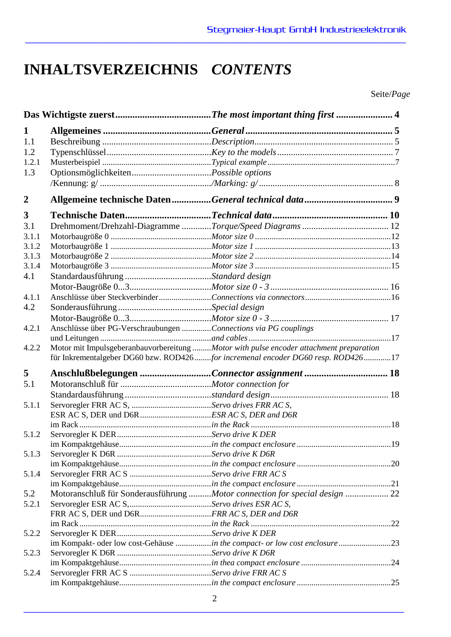# **INHALTSVERZEICHNIS** *CONTENTS*

**\_\_\_\_\_\_\_\_\_\_\_\_\_\_\_\_\_\_\_\_\_\_\_\_\_\_\_\_\_\_\_\_\_\_\_\_\_\_\_\_\_\_\_\_\_\_\_\_\_\_\_\_\_\_\_\_\_\_\_\_\_\_\_\_\_\_\_\_\_\_\_\_\_\_\_\_\_\_\_\_\_\_\_\_\_\_\_\_\_\_\_**

Seite/*Page*

| 1              |                                                                 |                                                                                        |  |  |  |  |
|----------------|-----------------------------------------------------------------|----------------------------------------------------------------------------------------|--|--|--|--|
| 1.1            |                                                                 |                                                                                        |  |  |  |  |
| 1.2            |                                                                 |                                                                                        |  |  |  |  |
| 1.2.1          |                                                                 |                                                                                        |  |  |  |  |
| 1.3            |                                                                 |                                                                                        |  |  |  |  |
|                |                                                                 |                                                                                        |  |  |  |  |
| $\overline{2}$ |                                                                 |                                                                                        |  |  |  |  |
| 3              |                                                                 |                                                                                        |  |  |  |  |
| 3.1            |                                                                 |                                                                                        |  |  |  |  |
| 3.1.1          |                                                                 |                                                                                        |  |  |  |  |
| 3.1.2          |                                                                 |                                                                                        |  |  |  |  |
| 3.1.3          |                                                                 |                                                                                        |  |  |  |  |
| 3.1.4          |                                                                 |                                                                                        |  |  |  |  |
| 4.1            |                                                                 |                                                                                        |  |  |  |  |
|                |                                                                 |                                                                                        |  |  |  |  |
| 4.1.1          |                                                                 |                                                                                        |  |  |  |  |
| 4.2            |                                                                 |                                                                                        |  |  |  |  |
|                |                                                                 |                                                                                        |  |  |  |  |
| 4.2.1          | Anschlüsse über PG-Verschraubungen Connections via PG couplings |                                                                                        |  |  |  |  |
|                |                                                                 |                                                                                        |  |  |  |  |
| 4.2.2          |                                                                 | Motor mit Impulsgeberanbauvorbereitung Motor with pulse encoder attachment preparation |  |  |  |  |
|                |                                                                 | für Inkrementalgeber DG60 bzw. ROD426 for incremenal encoder DG60 resp. ROD426 17      |  |  |  |  |
| 5              |                                                                 | Anschlußbelegungen Connector assignment  18                                            |  |  |  |  |
| 5.1            |                                                                 |                                                                                        |  |  |  |  |
|                |                                                                 |                                                                                        |  |  |  |  |
| 5.1.1          |                                                                 |                                                                                        |  |  |  |  |
|                |                                                                 |                                                                                        |  |  |  |  |
|                |                                                                 |                                                                                        |  |  |  |  |
| 5.1.2          |                                                                 |                                                                                        |  |  |  |  |
|                |                                                                 |                                                                                        |  |  |  |  |
| 5.1.3          |                                                                 |                                                                                        |  |  |  |  |
|                |                                                                 |                                                                                        |  |  |  |  |
| 5.1.4          |                                                                 |                                                                                        |  |  |  |  |
|                |                                                                 |                                                                                        |  |  |  |  |
| 5.2            |                                                                 | Motoranschluß für Sonderausführung Motor connection for special design  22             |  |  |  |  |
| 5.2.1          |                                                                 |                                                                                        |  |  |  |  |
|                |                                                                 |                                                                                        |  |  |  |  |
|                |                                                                 |                                                                                        |  |  |  |  |
| 5.2.2          |                                                                 |                                                                                        |  |  |  |  |
|                |                                                                 | im Kompakt- oder low cost-Gehäuse in the compact- or low cost enclosure 23             |  |  |  |  |
| 5.2.3          |                                                                 |                                                                                        |  |  |  |  |
|                |                                                                 |                                                                                        |  |  |  |  |
| 5.2.4          |                                                                 |                                                                                        |  |  |  |  |
|                |                                                                 |                                                                                        |  |  |  |  |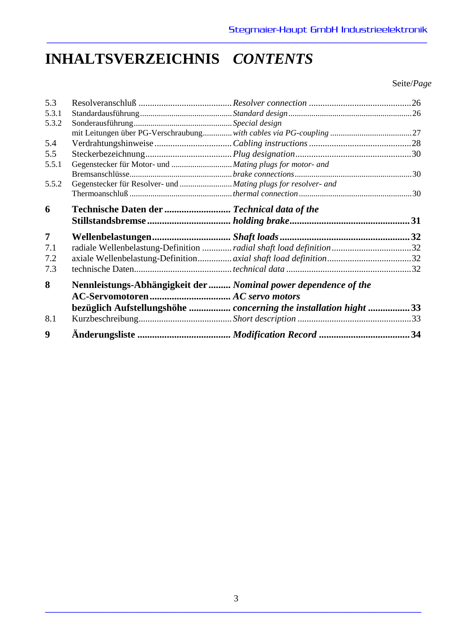# **INHALTSVERZEICHNIS** *CONTENTS*

Seite/*Page*

| 5.3            |                                                                 |                                                                     |  |
|----------------|-----------------------------------------------------------------|---------------------------------------------------------------------|--|
| 5.3.1          |                                                                 |                                                                     |  |
| 5.3.2          |                                                                 |                                                                     |  |
|                |                                                                 |                                                                     |  |
| 5.4            |                                                                 |                                                                     |  |
| 5.5            |                                                                 |                                                                     |  |
| 5.5.1          | Gegenstecker für Motor- und  Mating plugs for motor- and        |                                                                     |  |
|                |                                                                 |                                                                     |  |
| 5.5.2          |                                                                 |                                                                     |  |
|                |                                                                 |                                                                     |  |
| 6              | Technische Daten der  Technical data of the                     |                                                                     |  |
|                |                                                                 |                                                                     |  |
| $\overline{7}$ |                                                                 |                                                                     |  |
| 7.1            |                                                                 | radiale Wellenbelastung-Definition  radial shaft load definition 32 |  |
| 7.2            |                                                                 |                                                                     |  |
| 7.3            |                                                                 |                                                                     |  |
| 8              | Nennleistungs-Abhängigkeit der  Nominal power dependence of the |                                                                     |  |
|                |                                                                 |                                                                     |  |
|                |                                                                 | bezüglich Aufstellungshöhe  concerning the installation hight  33   |  |
| 8.1            |                                                                 |                                                                     |  |
| 9              |                                                                 |                                                                     |  |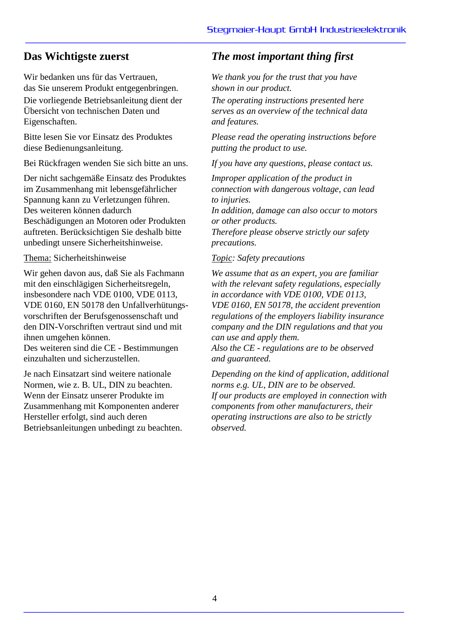Wir bedanken uns für das Vertrauen, das Sie unserem Produkt entgegenbringen. Die vorliegende Betriebsanleitung dient der Übersicht von technischen Daten und Eigenschaften.

Bitte lesen Sie vor Einsatz des Produktes diese Bedienungsanleitung.

Bei Rückfragen wenden Sie sich bitte an uns.

Der nicht sachgemäße Einsatz des Produktes im Zusammenhang mit lebensgefährlicher Spannung kann zu Verletzungen führen. Des weiteren können dadurch Beschädigungen an Motoren oder Produkten auftreten. Berücksichtigen Sie deshalb bitte unbedingt unsere Sicherheitshinweise.

Thema: Sicherheitshinweise

Wir gehen davon aus, daß Sie als Fachmann mit den einschlägigen Sicherheitsregeln, insbesondere nach VDE 0100, VDE 0113, VDE 0160, EN 50178 den Unfallverhütungsvorschriften der Berufsgenossenschaft und den DIN-Vorschriften vertraut sind und mit ihnen umgehen können. Des weiteren sind die CE - Bestimmungen einzuhalten und sicherzustellen.

Je nach Einsatzart sind weitere nationale Normen, wie z. B. UL, DIN zu beachten. Wenn der Einsatz unserer Produkte im Zusammenhang mit Komponenten anderer Hersteller erfolgt, sind auch deren Betriebsanleitungen unbedingt zu beachten.

# **Das Wichtigste zuerst** *The most important thing first*

**\_\_\_\_\_\_\_\_\_\_\_\_\_\_\_\_\_\_\_\_\_\_\_\_\_\_\_\_\_\_\_\_\_\_\_\_\_\_\_\_\_\_\_\_\_\_\_\_\_\_\_\_\_\_\_\_\_\_\_\_\_\_\_\_\_\_\_\_\_\_\_\_\_\_\_\_\_\_\_\_\_\_\_\_\_\_\_\_\_\_\_**

*We thank you for the trust that you have shown in our product.*

*The operating instructions presented here serves as an overview of the technical data and features.*

*Please read the operating instructions before putting the product to use.*

*If you have any questions, please contact us.*

*Improper application of the product in connection with dangerous voltage, can lead to injuries. In addition, damage can also occur to motors or other products.* 

*Therefore please observe strictly our safety precautions.*

## *Topic: Safety precautions*

*We assume that as an expert, you are familiar with the relevant safety regulations, especially in accordance with VDE 0100, VDE 0113, VDE 0160, EN 50178, the accident prevention regulations of the employers liability insurance company and the DIN regulations and that you can use and apply them.*

*Also the CE - regulations are to be observed and guaranteed.*

*Depending on the kind of application, additional norms e.g. UL, DIN are to be observed. If our products are employed in connection with components from other manufacturers, their operating instructions are also to be strictly observed.*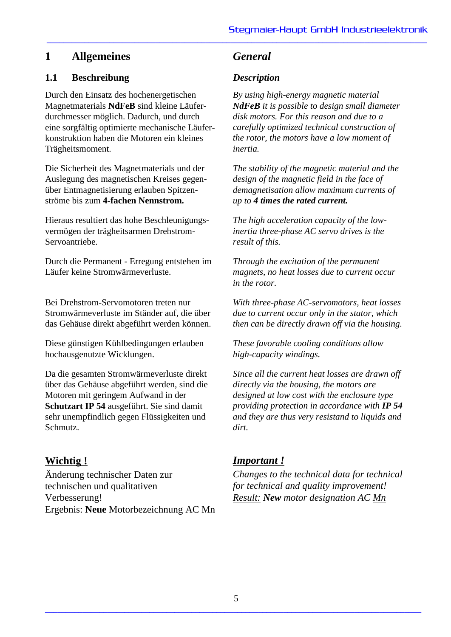# **1.1 Beschreibung** *Description*

Durch den Einsatz des hochenergetischen Magnetmaterials **NdFeB** sind kleine Läuferdurchmesser möglich. Dadurch, und durch eine sorgfältig optimierte mechanische Läuferkonstruktion haben die Motoren ein kleines Trägheitsmoment.

Die Sicherheit des Magnetmaterials und der Auslegung des magnetischen Kreises gegenüber Entmagnetisierung erlauben Spitzenströme bis zum **4-fachen Nennstrom.**

Hieraus resultiert das hohe Beschleunigungsvermögen der trägheitsarmen Drehstrom-Servoantriebe.

Durch die Permanent - Erregung entstehen im Läufer keine Stromwärmeverluste.

Bei Drehstrom-Servomotoren treten nur Stromwärmeverluste im Ständer auf, die über das Gehäuse direkt abgeführt werden können.

Diese günstigen Kühlbedingungen erlauben hochausgenutzte Wicklungen.

Da die gesamten Stromwärmeverluste direkt über das Gehäuse abgeführt werden, sind die Motoren mit geringem Aufwand in der **Schutzart IP 54** ausgeführt. Sie sind damit sehr unempfindlich gegen Flüssigkeiten und Schmutz.

# **Wichtig !**

Änderung technischer Daten zur technischen und qualitativen Verbesserung! Ergebnis: **Neue** Motorbezeichnung AC Mn

**\_\_\_\_\_\_\_\_\_\_\_\_\_\_\_\_\_\_\_\_\_\_\_\_\_\_\_\_\_\_\_\_\_\_\_\_\_\_\_\_\_\_\_\_\_\_\_\_\_\_\_\_\_\_\_\_\_\_\_\_\_\_\_\_\_\_\_\_\_\_\_\_\_\_\_\_\_\_\_\_\_\_\_\_\_\_\_\_\_\_\_**

*By using high-energy magnetic material NdFeB it is possible to design small diameter disk motors. For this reason and due to a carefully optimized technical construction of the rotor, the motors have a low moment of inertia.*

*The stability of the magnetic material and the design of the magnetic field in the face of demagnetisation allow maximum currents of up to 4 times the rated current.*

*The high acceleration capacity of the lowinertia three-phase AC servo drives is the result of this.*

*Through the excitation of the permanent magnets, no heat losses due to current occur in the rotor.*

*With three-phase AC-servomotors, heat losses due to current occur only in the stator, which then can be directly drawn off via the housing.*

*These favorable cooling conditions allow high-capacity windings.*

*Since all the current heat losses are drawn off directly via the housing, the motors are designed at low cost with the enclosure type providing protection in accordance with IP 54 and they are thus very resistand to liquids and dirt.*

# *Important !*

*Changes to the technical data for technical for technical and quality improvement! Result: New motor designation AC Mn*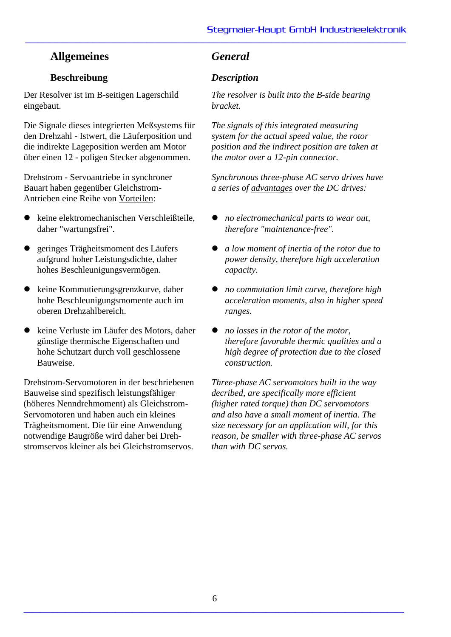# **Beschreibung** *Description*

Der Resolver ist im B-seitigen Lagerschild eingebaut.

Die Signale dieses integrierten Meßsystems für den Drehzahl - Istwert, die Läuferposition und die indirekte Lageposition werden am Motor über einen 12 - poligen Stecker abgenommen.

Drehstrom - Servoantriebe in synchroner Bauart haben gegenüber Gleichstrom-Antrieben eine Reihe von Vorteilen:

- keine elektromechanischen Verschleißteile, daher "wartungsfrei".
- geringes Trägheitsmoment des Läufers aufgrund hoher Leistungsdichte, daher hohes Beschleunigungsvermögen.
- keine Kommutierungsgrenzkurve, daher hohe Beschleunigungsmomente auch im oberen Drehzahlbereich.
- keine Verluste im Läufer des Motors, daher günstige thermische Eigenschaften und hohe Schutzart durch voll geschlossene Bauweise.

Drehstrom-Servomotoren in der beschriebenen Bauweise sind spezifisch leistungsfähiger (höheres Nenndrehmoment) als Gleichstrom-Servomotoren und haben auch ein kleines Trägheitsmoment. Die für eine Anwendung notwendige Baugröße wird daher bei Drehstromservos kleiner als bei Gleichstromservos.

**\_\_\_\_\_\_\_\_\_\_\_\_\_\_\_\_\_\_\_\_\_\_\_\_\_\_\_\_\_\_\_\_\_\_\_\_\_\_\_\_\_\_\_\_\_\_\_\_\_\_\_\_\_\_\_\_\_\_\_\_\_\_\_\_\_\_\_\_\_\_\_\_\_\_\_\_\_\_\_\_\_\_\_\_\_\_\_\_\_\_\_**

*The resolver is built into the B-side bearing bracket.*

*The signals of this integrated measuring system for the actual speed value, the rotor position and the indirect position are taken at the motor over a 12-pin connector.*

*Synchronous three-phase AC servo drives have a series of advantages over the DC drives:*

- *no electromechanical parts to wear out, therefore "maintenance-free".*
- *a low moment of inertia of the rotor due to power density, therefore high acceleration capacity.*
- *no commutation limit curve, therefore high acceleration moments, also in higher speed ranges.*
- *no losses in the rotor of the motor, therefore favorable thermic qualities and a high degree of protection due to the closed construction.*

*Three-phase AC servomotors built in the way decribed, are specifically more efficient (higher rated torque) than DC servomotors and also have a small moment of inertia. The size necessary for an application will, for this reason, be smaller with three-phase AC servos than with DC servos.*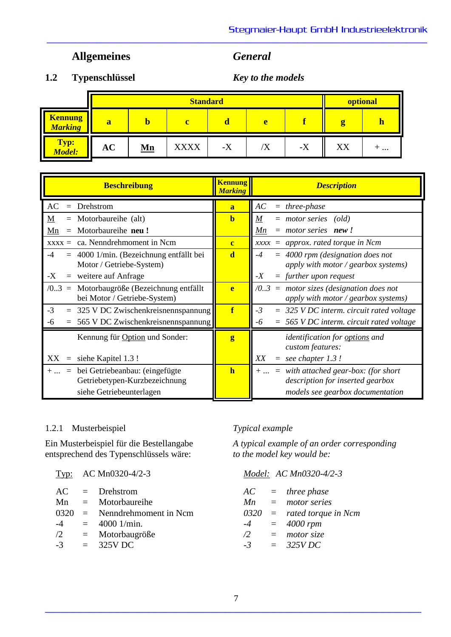**\_\_\_\_\_\_\_\_\_\_\_\_\_\_\_\_\_\_\_\_\_\_\_\_\_\_\_\_\_\_\_\_\_\_\_\_\_\_\_\_\_\_\_\_\_\_\_\_\_\_\_\_\_\_\_\_\_\_\_\_\_\_\_\_\_\_\_\_\_\_\_\_\_\_\_\_\_\_\_\_\_\_\_\_\_\_\_\_\_\_\_**

**1.2 Typenschlüssel** *Key to the models*

|                                  |                                        |  | optional    |                           |                |      |    |     |
|----------------------------------|----------------------------------------|--|-------------|---------------------------|----------------|------|----|-----|
| <b>Kennung</b><br><b>Marking</b> | a                                      |  | ◠           |                           | e              |      |    |     |
| Typ:<br>Model:                   | <b>AC</b><br>$\underline{\mathbf{Mn}}$ |  | <b>XXXX</b> | $\mathbf{v}$<br>$-\Delta$ | $\Delta$<br>'Λ | $-X$ | XX | $+$ |

| <b>Beschreibung</b>                                                              | <b>Kennung</b><br><b>Marking</b> | <b>Description</b>                                                                               |
|----------------------------------------------------------------------------------|----------------------------------|--------------------------------------------------------------------------------------------------|
| $=$ Drehstrom<br>AC                                                              | a                                | AC<br>$=$ three-phase                                                                            |
| $=$ Motorbaureihe (alt)<br>$\underline{M}$                                       | $\mathbf b$                      | M<br>$=$ motor series (old)                                                                      |
| Motorbaureihe neu!<br>Mn<br>$=$                                                  |                                  | $=$ motor series <b>new!</b><br>Mn                                                               |
| $xxxx = ca.$ Nenndrehmoment in Ncm                                               | $\mathbf{c}$                     | $xxxx =$ approx. rated torque in Ncm                                                             |
| $-4$<br>4000 1/min. (Bezeichnung entfällt bei<br>$=$<br>Motor / Getriebe-System) | $\overline{\mathbf{d}}$          | $=$ 4000 rpm (designation does not<br>$-4$<br>apply with motor / $\gamma$ gearbox systems)       |
| $=$ weitere auf Anfrage<br>-X                                                    |                                  | $=$ further upon request<br>$-X$                                                                 |
| $/0.3$ = Motorbaugröße (Bezeichnung entfällt<br>bei Motor / Getriebe-System)     | e                                | $\sqrt{0.3}$ = motor sizes (designation does not<br>apply with motor / $\gamma$ gearbox systems) |
| $-3$<br>325 V DC Zwischenkreisnennspannung                                       | f                                | $-3$<br>$=$ 325 V DC interm. circuit rated voltage                                               |
| $= 565$ V DC Zwischenkreisnennspannung<br>-6                                     |                                  | $= 565$ VDC interm. circuit rated voltage<br>-6                                                  |
| Kennung für Option und Sonder:                                                   | g                                | identification for options and<br>custom features:                                               |
| XX<br>siehe Kapitel 1.3!<br>$\quad \  \  =$                                      |                                  | XX<br>$=$ see chapter 1.3!                                                                       |
| $=$ bei Getriebeanbau: (eingefügte<br>$+$<br>Getriebetypen-Kurzbezeichnung       | h                                | $+  = with attached gear-box: (for short$<br>description for inserted gearbox                    |
| siehe Getriebeunterlagen                                                         |                                  | models see gearbox documentation                                                                 |

# 1.2.1 Musterbeispiel *Typical example*

entsprechend des Typenschlüssels wäre:

| AC Mn0320-4/2-3<br><u>Typ:</u> |  |
|--------------------------------|--|
|--------------------------------|--|

|  | $AC = Drehstrom$               |  | $AC = three phase$           |
|--|--------------------------------|--|------------------------------|
|  | $Mn = Motorbaure ihe$          |  | $Mn = motor series$          |
|  | $0320 =$ Nenndrehmoment in Ncm |  | $0320 =$ rated torque in Ncm |
|  | $-4 = 4000$ 1/min.             |  | $-4 = 4000$ rpm              |
|  | $/2$ = Motorbaugröße           |  | $\sqrt{2}$ = motor size      |
|  | $-3 = 325 \text{V} \text{DC}$  |  | $-3 = 325 VDC$               |
|  |                                |  |                              |

Ein Musterbeispiel für die Bestellangabe *A typical example of an order corresponding*

# Typ: AC Mn0320-4/2-3 *Model: AC Mn0320-4/2-3*

| AC       | $=$ | three phase         |
|----------|-----|---------------------|
| Mn       |     | motor series        |
| 0320     |     | rated torque in Ncn |
| $-4$     | $=$ | 4000 rpm            |
| $\angle$ |     | motor size          |
| $-3$     |     | 325VDC              |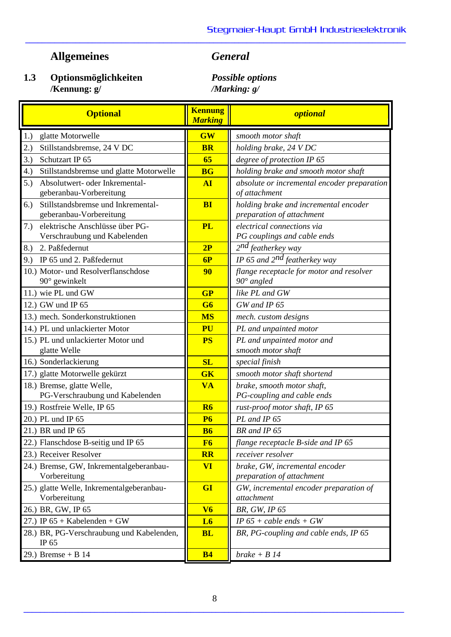## **1.3 Optionsmöglichkeiten** *Possible options* **/Kennung: g/** */Marking: g/*

|     | <b>Optional</b>                                                 | <b>Kennung</b><br><b>Marking</b> | <b>optional</b>                                                    |
|-----|-----------------------------------------------------------------|----------------------------------|--------------------------------------------------------------------|
| 1.) | glatte Motorwelle                                               | <b>GW</b>                        | smooth motor shaft                                                 |
| 2.) | Stillstandsbremse, 24 V DC                                      | <b>BR</b>                        | holding brake, 24 V DC                                             |
| 3.) | Schutzart IP 65                                                 | 65                               | degree of protection IP 65                                         |
| 4.) | Stillstandsbremse und glatte Motorwelle                         | <b>BG</b>                        | holding brake and smooth motor shaft                               |
| 5.) | Absolutwert- oder Inkremental-<br>geberanbau-Vorbereitung       | <b>AI</b>                        | absolute or incremental encoder preparation<br>of attachment       |
| 6.) | Stillstandsbremse und Inkremental-<br>geberanbau-Vorbereitung   | <b>BI</b>                        | holding brake and incremental encoder<br>preparation of attachment |
| 7.) | elektrische Anschlüsse über PG-<br>Verschraubung und Kabelenden | <b>PL</b>                        | electrical connections via<br>PG couplings and cable ends          |
| 8.) | 2. Paßfedernut                                                  | 2P                               | 2 <sup>nd</sup> featherkey way                                     |
|     | 9.) IP 65 und 2. Paßfedernut                                    | 6P                               | IP 65 and $2^{nd}$ featherkey way                                  |
|     | 10.) Motor- und Resolverflanschdose<br>$90^\circ$ gewinkelt     | 90                               | flange receptacle for motor and resolver<br>$90^\circ$ angled      |
|     | 11.) wie PL und GW                                              | GP                               | like PL and GW                                                     |
|     | 12.) GW und IP 65                                               | G6                               | GW and IP 65                                                       |
|     | 13.) mech. Sonderkonstruktionen                                 | <b>MS</b>                        | mech. custom designs                                               |
|     | 14.) PL und unlackierter Motor                                  | PU                               | PL and unpainted motor                                             |
|     | 15.) PL und unlackierter Motor und<br>glatte Welle              | <b>PS</b>                        | PL and unpainted motor and<br>smooth motor shaft                   |
|     | 16.) Sonderlackierung                                           | SL                               | special finish                                                     |
|     | 17.) glatte Motorwelle gekürzt                                  | <b>GK</b>                        | smooth motor shaft shortend                                        |
|     | 18.) Bremse, glatte Welle,<br>PG-Verschraubung und Kabelenden   | <b>VA</b>                        | brake, smooth motor shaft,<br>PG-coupling and cable ends           |
|     | 19.) Rostfreie Welle, IP 65                                     | <b>R6</b>                        | rust-proof motor shaft, IP 65                                      |
|     | 20.) PL und IP 65                                               | <b>P6</b>                        | PL and IP 65                                                       |
|     | 21.) BR und IP 65                                               | <b>B6</b>                        | BR and IP 65                                                       |
|     | 22.) Flanschdose B-seitig und IP 65                             | F6                               | flange receptacle B-side and IP 65                                 |
|     | 23.) Receiver Resolver                                          | $\overline{\mathbf{R}}$          | receiver resolver                                                  |
|     | 24.) Bremse, GW, Inkrementalgeberanbau-<br>Vorbereitung         | <b>VI</b>                        | brake, GW, incremental encoder<br>preparation of attachment        |
|     | 25.) glatte Welle, Inkrementalgeberanbau-<br>Vorbereitung       | GI                               | GW, incremental encoder preparation of<br>attachment               |
|     | 26.) BR, GW, IP 65                                              | V <sub>6</sub>                   | BR, GW, IP 65                                                      |
|     | 27.) IP $65 +$ Kabelenden + GW                                  | L6                               | IP $65 + cable$ ends + GW                                          |
|     | 28.) BR, PG-Verschraubung und Kabelenden,<br>IP 65              | <b>BL</b>                        | BR, PG-coupling and cable ends, IP 65                              |
|     | 29.) Bremse + B $14$                                            | <b>B4</b>                        | $brake + B14$                                                      |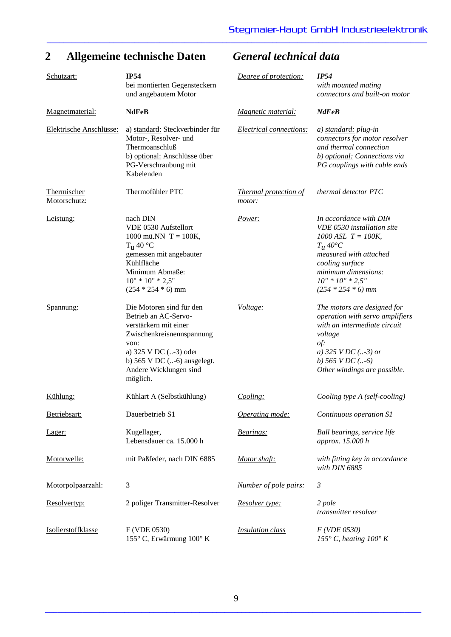# **2 Allgemeine technische Daten** *General technical data*

| Schutzart:                  | <b>IP54</b><br>bei montierten Gegensteckern<br>und angebautem Motor                                                                                                                                              | Degree of protection:                  | IP54<br>with mounted mating<br>connectors and built-on motor                                                                                                                                                           |
|-----------------------------|------------------------------------------------------------------------------------------------------------------------------------------------------------------------------------------------------------------|----------------------------------------|------------------------------------------------------------------------------------------------------------------------------------------------------------------------------------------------------------------------|
| Magnetmaterial:             | <b>NdFeB</b>                                                                                                                                                                                                     | Magnetic material:                     | <b>NdFeB</b>                                                                                                                                                                                                           |
| Elektrische Anschlüsse:     | a) standard: Steckverbinder für<br>Motor-, Resolver- und<br>Thermoanschluß<br>b) optional: Anschlüsse über<br>PG-Verschraubung mit<br>Kabelenden                                                                 | <b>Electrical connections:</b>         | a) standard: plug-in<br>connectors for motor resolver<br>and thermal connection<br>b) optional: Connections via<br>PG couplings with cable ends                                                                        |
| Thermischer<br>Motorschutz: | Thermofühler PTC                                                                                                                                                                                                 | <b>Thermal</b> protection of<br>motor: | thermal detector PTC                                                                                                                                                                                                   |
| Leistung:                   | nach DIN<br>VDE 0530 Aufstellort<br>1000 mü.NN $T = 100K$ ,<br>$T_{\rm H}$ 40 °C<br>gemessen mit angebauter<br>Kühlfläche<br>Minimum Abmaße:<br>$10" * 10" * 2,5"$<br>$(254 * 254 * 6)$ mm                       | Power:                                 | In accordance with DIN<br>VDE 0530 installation site<br>$1000$ ASL $T = 100K$ ,<br>$T_{\mu}$ 40°C<br>measured with attached<br>cooling surface<br>minimum dimensions:<br>$10'' * 10'' * 2,5''$<br>$(254 * 254 * 6)$ mm |
| Spannung:                   | Die Motoren sind für den<br>Betrieb an AC-Servo-<br>verstärkern mit einer<br>Zwischenkreisnennspannung<br>von:<br>a) 325 V DC (-3) oder<br>b) $565$ V DC $(-6)$ ausgelegt.<br>Andere Wicklungen sind<br>möglich. | Voltage:                               | The motors are designed for<br>operation with servo amplifiers<br>with an intermediate circuit<br>voltage<br>of:<br>a) 325 V DC $($ -3) or<br>b) $565 VDC$ (-6)<br>Other windings are possible.                        |
| Kühlung:                    | Kühlart A (Selbstkühlung)                                                                                                                                                                                        | Cooling:                               | Cooling type A (self-cooling)                                                                                                                                                                                          |
| Betriebsart:                | Dauerbetrieb S1                                                                                                                                                                                                  | Operating mode:                        | Continuous operation S1                                                                                                                                                                                                |
| Lager:                      | Kugellager,<br>Lebensdauer ca. 15.000 h                                                                                                                                                                          | Bearings:                              | Ball bearings, service life<br>approx. 15.000 h                                                                                                                                                                        |
| Motorwelle:                 | mit Paßfeder, nach DIN 6885                                                                                                                                                                                      | Motor shaft:                           | with fitting key in accordance<br>with DIN 6885                                                                                                                                                                        |
| Motorpolpaarzahl:           | 3                                                                                                                                                                                                                | Number of pole pairs:                  | $\mathfrak{Z}$                                                                                                                                                                                                         |
| Resolvertyp:                | 2 poliger Transmitter-Resolver                                                                                                                                                                                   | Resolver type:                         | 2 pole<br>transmitter resolver                                                                                                                                                                                         |
| Isolierstoffklasse          | F (VDE 0530)<br>155° C, Erwärmung 100° K                                                                                                                                                                         | <b>Insulation</b> class                | F( VDE 0530)<br>155 $\degree$ C, heating 100 $\degree$ K                                                                                                                                                               |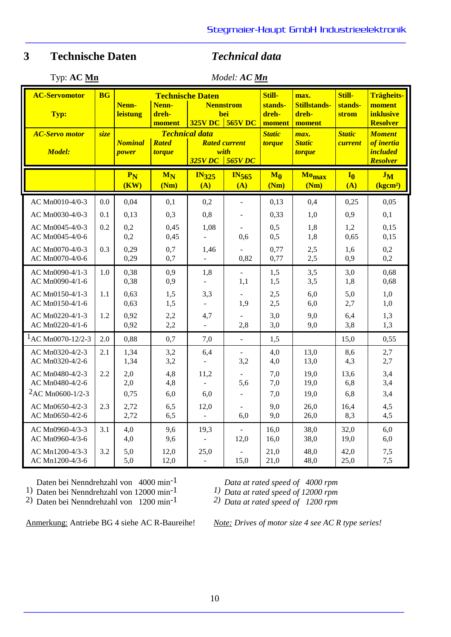| Typ: $AC$ Mn |  |  |
|--------------|--|--|
|--------------|--|--|

Typ: **AC Mn** *Model: AC Mn*

**\_\_\_\_\_\_\_\_\_\_\_\_\_\_\_\_\_\_\_\_\_\_\_\_\_\_\_\_\_\_\_\_\_\_\_\_\_\_\_\_\_\_\_\_\_\_\_\_\_\_\_\_\_\_\_\_\_\_\_\_\_\_\_\_\_\_\_\_\_\_\_\_\_\_\_\_\_\_\_\_\_\_\_\_\_\_\_\_\_\_\_**

| <b>AC-Servomotor</b>                   | <b>BG</b> | Nenn-                          | <b>Technische Daten</b><br>Nenn-<br><b>Nennstrom</b><br>dreh- |                                   | Still-<br>stands-<br>dreh-               | max.<br><b>Stillstands-</b><br>dreh- | Still-<br>stands-                      | <b>Trägheits-</b><br>moment<br><i>inklusive</i> |                                                |
|----------------------------------------|-----------|--------------------------------|---------------------------------------------------------------|-----------------------------------|------------------------------------------|--------------------------------------|----------------------------------------|-------------------------------------------------|------------------------------------------------|
| Typ:                                   |           | <b>leistung</b>                | moment                                                        | <b>325V DC</b>                    | <b>bei</b><br>$\sqrt{565V}$ DC<br>moment |                                      | moment                                 | strom                                           | <b>Resolver</b>                                |
| <b>AC-Servo motor</b><br><b>Model:</b> | size      | <b>Nominal</b><br><b>power</b> | <b>Rated</b><br><b>torque</b>                                 | <b>Technical data</b>             | <b>Rated current</b><br>with             | <b>Static</b><br><b>torque</b>       | max.<br><b>Static</b><br><b>torque</b> | <b>Static</b><br>current                        | <b>Moment</b><br>of inertia<br><i>included</i> |
|                                        |           |                                |                                                               | 325V DC                           | 565VDC                                   |                                      |                                        |                                                 | <b>Resolver</b>                                |
|                                        |           | $P_N$<br>(KW)                  | $M_N$<br>(Nm)                                                 | <b>IN325</b><br>(A)               | $IN_{565}$<br>(A)                        | $M_0$<br>(Nm)                        | Mo <sub>max</sub><br>(Nm)              | $I_0$<br>(A)                                    | $J_M$<br>(kgcm <sup>2</sup> )                  |
| AC Mn0010-4/0-3                        | 0.0       | 0,04                           | 0,1                                                           | 0,2                               | $\overline{a}$                           | 0,13                                 | 0,4                                    | 0,25                                            | 0,05                                           |
| AC Mn0030-4/0-3                        | 0.1       | 0,13                           | 0,3                                                           | 0,8                               |                                          | 0,33                                 | 1,0                                    | 0,9                                             | 0,1                                            |
| AC Mn0045-4/0-3<br>AC Mn0045-4/0-6     | 0.2       | 0,2<br>0,2                     | 0,45<br>0,45                                                  | 1,08<br>$\overline{\phantom{a}}$  | 0,6                                      | 0,5<br>0,5                           | 1,8<br>1,8                             | 1,2<br>0,65                                     | 0,15<br>0,15                                   |
| AC Mn0070-4/0-3<br>AC Mn0070-4/0-6     | 0.3       | 0,29<br>0,29                   | 0,7<br>0,7                                                    | 1,46<br>$\overline{a}$            | 0,82                                     | 0,77<br>0,77                         | 2,5<br>2,5                             | 1,6<br>0,9                                      | 0,2<br>0,2                                     |
| AC Mn0090-4/1-3<br>AC Mn0090-4/1-6     | 1.0       | 0,38<br>0,38                   | 0,9<br>0,9                                                    | 1,8<br>$\mathbb{Z}^{\mathbb{Z}}$  | $\overline{a}$<br>1,1                    | 1,5<br>1,5                           | 3,5<br>3,5                             | 3,0<br>1,8                                      | 0,68<br>0,68                                   |
| AC Mn0150-4/1-3<br>AC Mn0150-4/1-6     | 1.1       | 0,63<br>0,63                   | 1,5<br>1,5                                                    | 3,3<br>$\omega$                   | 1,9                                      | 2,5<br>2,5                           | 6,0<br>6,0                             | 5,0<br>2,7                                      | 1,0<br>1,0                                     |
| AC Mn0220-4/1-3<br>AC Mn0220-4/1-6     | 1.2       | 0,92<br>0,92                   | 2,2<br>2,2                                                    | 4,7<br>$\overline{a}$             | 2,8                                      | 3,0<br>3,0                           | 9,0<br>9,0                             | 6,4<br>3,8                                      | 1,3<br>1,3                                     |
| ${}^{1}$ AC Mn0070-12/2-3              | 2.0       | 0,88                           | 0,7                                                           | 7,0                               | $\overline{a}$                           | 1,5                                  |                                        | 15,0                                            | 0,55                                           |
| AC Mn0320-4/2-3<br>AC Mn0320-4/2-6     | 2.1       | 1,34<br>1,34                   | 3,2<br>3,2                                                    | 6,4<br>$\mathbf{r}$               | 3,2                                      | 4,0<br>4,0                           | 13,0<br>13,0                           | 8,6<br>4,3                                      | 2,7<br>2,7                                     |
| AC Mn0480-4/2-3<br>AC Mn0480-4/2-6     | 2.2       | 2,0<br>2,0                     | 4,8<br>4,8                                                    | 11,2                              | 5,6                                      | 7,0<br>7,0                           | 19,0<br>19,0                           | 13,6<br>6,8                                     | 3,4<br>3,4                                     |
| <sup>2</sup> AC Mn0600-1/2-3           |           | 0,75                           | 6,0                                                           | 6,0                               |                                          | 7,0                                  | 19,0                                   | 6,8                                             | 3,4                                            |
| AC Mn0650-4/2-3<br>AC Mn0650-4/2-6     | 2.3       | 2,72<br>2,72                   | 6,5<br>6,5                                                    | 12,0<br>$\mathbb{Z}^{\mathbb{Z}}$ | 6,0                                      | 9,0<br>9,0                           | 26,0<br>26,0                           | 16,4<br>8,3                                     | 4,5<br>4,5                                     |
| AC Mn0960-4/3-3<br>AC Mn0960-4/3-6     | 3.1       | 4,0<br>4,0                     | 9,6<br>9,6                                                    | 19,3<br>$\mathbf{r}$              | 12,0                                     | 16,0<br>16,0                         | 38,0<br>38,0                           | 32,0<br>19,0                                    | 6,0<br>6,0                                     |
| AC Mn1200-4/3-3<br>AC Mn1200-4/3-6     | 3.2       | 5,0<br>5,0                     | 12,0<br>12,0                                                  | 25,0<br>÷,                        | 15,0                                     | 21,0<br>21,0                         | 48,0<br>48,0                           | 42,0<br>25,0                                    | 7,5<br>7,5                                     |

Daten bei Nenndrehzahl von 4000 min-1

1) Daten bei Nenndrehzahl von 12000 min-1

2) Daten bei Nenndrehzahl von 1200 min-1

*Data at rated speed of 4000 rpm*

*1) Data at rated speed of 12000 rpm*

*2) Data at rated speed of 1200 rpm*

Anmerkung: Antriebe BG 4 siehe AC R-Baureihe! *Note: Drives of motor size 4 see AC R type series!*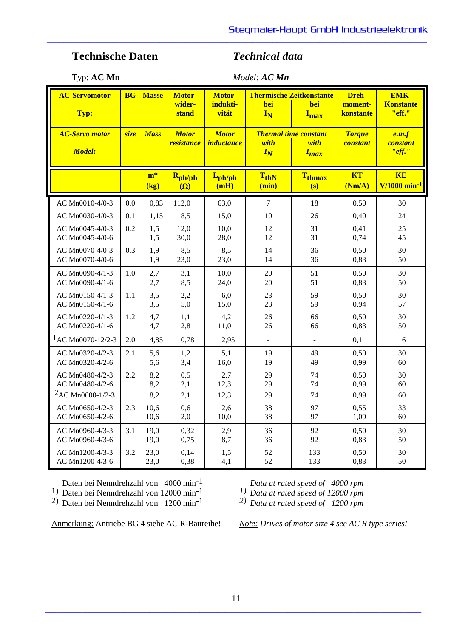Typ: **AC Mn** *Model: AC Mn*

**\_\_\_\_\_\_\_\_\_\_\_\_\_\_\_\_\_\_\_\_\_\_\_\_\_\_\_\_\_\_\_\_\_\_\_\_\_\_\_\_\_\_\_\_\_\_\_\_\_\_\_\_\_\_\_\_\_\_\_\_\_\_\_\_\_\_\_\_\_\_\_\_\_\_\_\_\_\_\_\_\_\_\_\_\_\_\_\_\_\_\_**

| <b>AC-Servomotor</b><br>Typ:           | <b>BG</b> | <b>Masse</b>  | Motor-<br>wider-<br>stand         | Motor-<br>indukti-<br>vität       | <b>Thermische Zeitkonstante</b><br><b>bei</b><br><b>bei</b><br>IN<br>$I_{\max}$ |                      | Dreh-<br>moment-<br>konstante    | EMK-<br><b>Konstante</b><br>"eff."      |
|----------------------------------------|-----------|---------------|-----------------------------------|-----------------------------------|---------------------------------------------------------------------------------|----------------------|----------------------------------|-----------------------------------------|
| <b>AC-Servo motor</b><br><b>Model:</b> | size      | <b>Mass</b>   | <b>Motor</b><br><i>resistance</i> | <b>Motor</b><br><i>inductance</i> | <b>Thermal time constant</b><br>with<br>with<br>$I_N$<br>$I_{max}$              |                      | <b>Torque</b><br><b>constant</b> | e.m.f<br>constant<br>"eff."             |
|                                        |           | $m^*$<br>(kg) | $R_{ph/ph}$<br>$(\Omega)$         | $L_{ph/ph}$<br>(mH)               | $T_{thN}$<br>(min)                                                              | <b>Tthmax</b><br>(s) | <b>KT</b><br>(Nm/A)              | <b>KE</b><br>$V/1000$ min <sup>-1</sup> |
| AC Mn0010-4/0-3                        | 0.0       | 0,83          | 112,0                             | 63,0                              | $\overline{7}$                                                                  | 18                   | 0,50                             | 30                                      |
| AC Mn0030-4/0-3                        | 0.1       | 1,15          | 18,5                              | 15,0                              | 10                                                                              | 26                   | 0,40                             | 24                                      |
| AC Mn0045-4/0-3                        | 0.2       | 1,5           | 12,0                              | 10,0                              | 12                                                                              | 31                   | 0,41                             | 25                                      |
| AC Mn0045-4/0-6                        |           | 1,5           | 30,0                              | 28,0                              | 12                                                                              | 31                   | 0,74                             | 45                                      |
| AC Mn0070-4/0-3                        | 0.3       | 1,9           | 8,5                               | 8,5                               | 14                                                                              | 36                   | 0,50                             | 30                                      |
| AC Mn0070-4/0-6                        |           | 1,9           | 23,0                              | 23,0                              | 14                                                                              | 36                   | 0,83                             | 50                                      |
| AC Mn0090-4/1-3                        | 1.0       | 2,7           | 3,1                               | 10,0                              | 20                                                                              | 51                   | 0,50                             | 30                                      |
| AC Mn0090-4/1-6                        |           | 2,7           | 8,5                               | 24,0                              | 20                                                                              | 51                   | 0,83                             | 50                                      |
| AC Mn0150-4/1-3                        | 1.1       | 3,5           | 2,2                               | 6,0                               | 23                                                                              | 59                   | 0,50                             | 30                                      |
| AC Mn0150-4/1-6                        |           | 3,5           | 5,0                               | 15,0                              | 23                                                                              | 59                   | 0,94                             | 57                                      |
| AC Mn0220-4/1-3                        | 1.2       | 4,7           | 1,1                               | 4,2                               | 26                                                                              | 66                   | 0,50                             | 30                                      |
| AC Mn0220-4/1-6                        |           | 4,7           | 2,8                               | 11,0                              | 26                                                                              | 66                   | 0,83                             | 50                                      |
| $1AC Mn0070-12/2-3$                    | 2.0       | 4,85          | 0,78                              | 2,95                              | $\overline{a}$                                                                  | $\overline{a}$       | 0,1                              | 6                                       |
| AC Mn0320-4/2-3                        | 2.1       | 5,6           | 1,2                               | 5,1                               | 19                                                                              | 49                   | 0,50                             | 30                                      |
| AC Mn0320-4/2-6                        |           | 5,6           | 3,4                               | 16,0                              | 19                                                                              | 49                   | 0,99                             | 60                                      |
| AC Mn0480-4/2-3                        | 2.2       | 8,2           | 0,5                               | 2,7                               | 29                                                                              | 74                   | 0,50                             | 30                                      |
| AC Mn0480-4/2-6                        |           | 8,2           | 2,1                               | 12,3                              | 29                                                                              | 74                   | 0,99                             | 60                                      |
| ${}^{2}$ AC Mn0600-1/2-3               | 2.3       | 8,2           | 2,1                               | 12,3                              | 29                                                                              | 74                   | 0,99                             | 60                                      |
| AC Mn0650-4/2-3                        |           | 10,6          | 0,6                               | 2,6                               | 38                                                                              | 97                   | 0,55                             | 33                                      |
| AC Mn0650-4/2-6                        |           | 10,6          | 2,0                               | 10,0                              | 38                                                                              | 97                   | 1,09                             | 60                                      |
| AC Mn0960-4/3-3                        | 3.1       | 19,0          | 0,32                              | 2,9                               | 36                                                                              | 92                   | 0,50                             | 30                                      |
| AC Mn0960-4/3-6                        |           | 19,0          | 0,75                              | 8,7                               | 36                                                                              | 92                   | 0,83                             | 50                                      |
| AC Mn1200-4/3-3                        | 3.2       | 23,0          | 0,14                              | 1,5                               | 52                                                                              | 133                  | 0,50                             | 30                                      |
| AC Mn1200-4/3-6                        |           | 23,0          | 0,38                              | 4,1                               | 52                                                                              | 133                  | 0,83                             | 50                                      |

Daten bei Nenndrehzahl von 4000 min<sup>-1</sup>

1) Daten bei Nenndrehzahl von 12000 min-1

2) Daten bei Nenndrehzahl von 1200 min-1

*Data at rated speed of 4000 rpm*

*1) Data at rated speed of 12000 rpm*

*2) Data at rated speed of 1200 rpm*

Anmerkung: Antriebe BG 4 siehe AC R-Baureihe! *Note: Drives of motor size 4 see AC R type series!*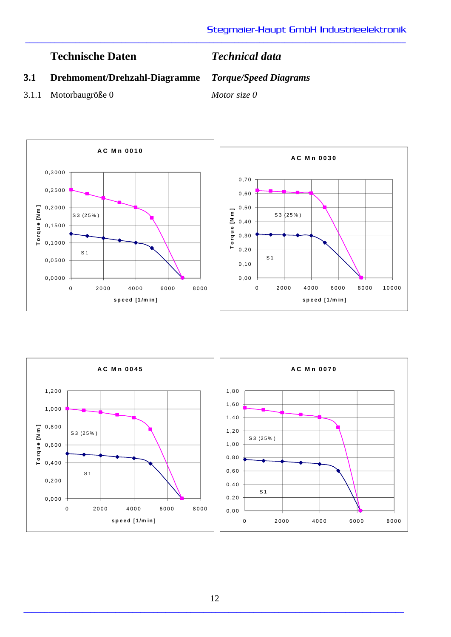**\_\_\_\_\_\_\_\_\_\_\_\_\_\_\_\_\_\_\_\_\_\_\_\_\_\_\_\_\_\_\_\_\_\_\_\_\_\_\_\_\_\_\_\_\_\_\_\_\_\_\_\_\_\_\_\_\_\_\_\_\_\_\_\_\_\_\_\_\_\_\_\_\_\_\_\_\_\_\_\_\_\_\_\_\_\_\_\_\_\_\_**

# **3.1 Drehmoment/Drehzahl-Diagramme** *Torque/Speed Diagrams*

3.1.1 Motorbaugröße 0 *Motor size 0*



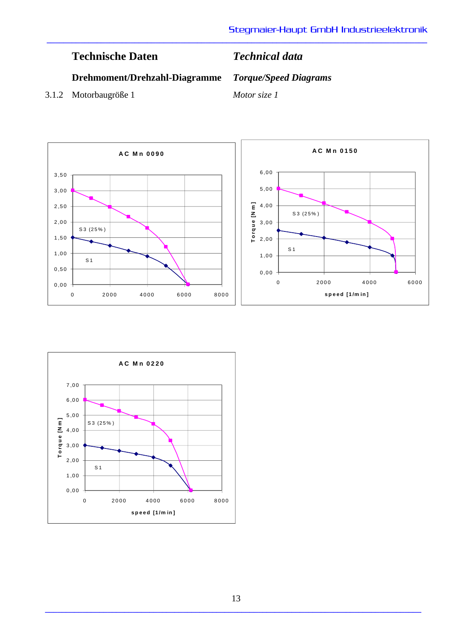# **Drehmoment/Drehzahl-Diagramme** *Torque/Speed Diagrams*

3.1.2 Motorbaugröße 1 *Motor size 1*



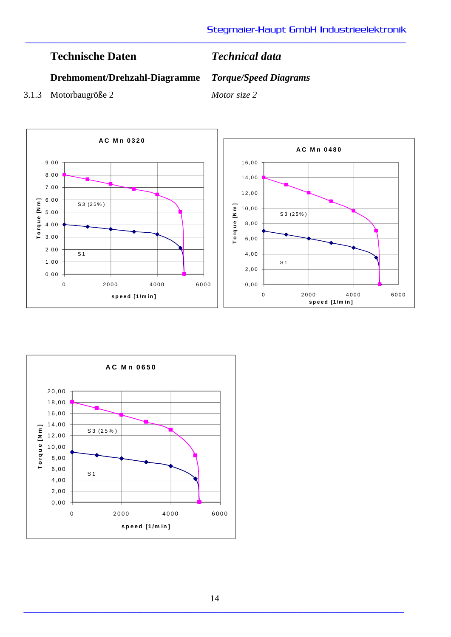# **Drehmoment/Drehzahl-Diagramme** *Torque/Speed Diagrams*

3.1.3 Motorbaugröße 2 *Motor size 2*



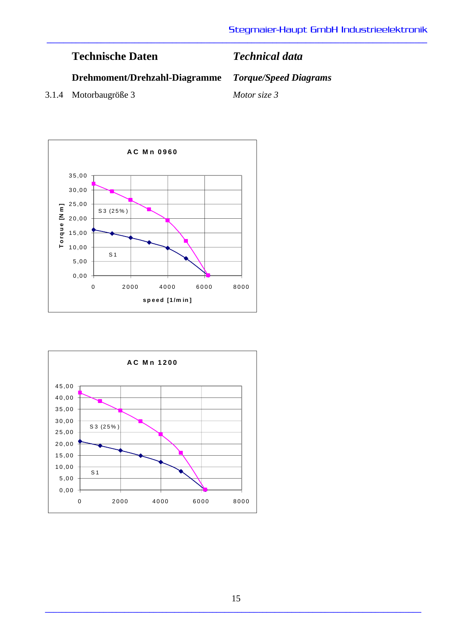| <b>Technische Daten</b>       | <b>Technical data</b>        |
|-------------------------------|------------------------------|
| Drehmoment/Drehzahl-Diagramme | <b>Torque/Speed Diagrams</b> |
|                               |                              |

3.1.4 Motorbaugröße 3 *Motor size 3*



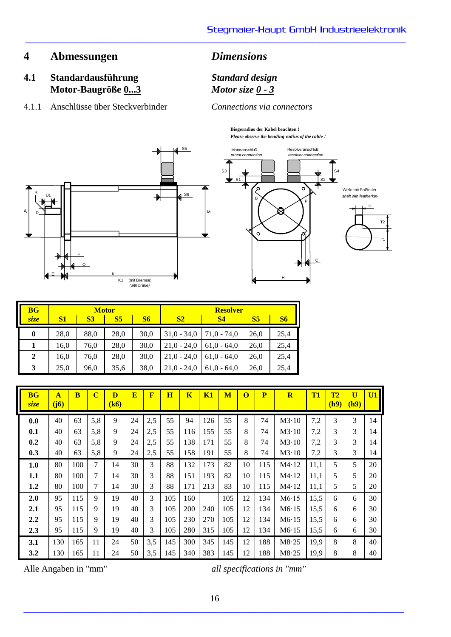# **4 Abmessungen** *Dimensions*

Motor-Baugröße  $0...3$ 

**\_\_\_\_\_\_\_\_\_\_\_\_\_\_\_\_\_\_\_\_\_\_\_\_\_\_\_\_\_\_\_\_\_\_\_\_\_\_\_\_\_\_\_\_\_\_\_\_\_\_\_\_\_\_\_\_\_\_\_\_\_\_\_\_\_\_\_\_\_\_\_\_\_\_\_\_\_\_\_\_\_\_\_\_\_\_\_\_\_\_\_**

**4.1 Standardausführung** *Standard design*

4.1.1 Anschlüsse über Steckverbinder *Connections via connectors*

**Biegeradius der Kabel beachten !** *Please observe the bending radius of the cable !*





| <b>BG</b>      |                                                |      | <b>Motor</b>   |           | <b>Resolver</b> |               |      |      |  |
|----------------|------------------------------------------------|------|----------------|-----------|-----------------|---------------|------|------|--|
| size           | S <sub>1</sub><br><b>S6</b><br><b>S3</b><br>S5 |      | S <sub>2</sub> | <b>S4</b> |                 | <b>S6</b>     |      |      |  |
| $\bf{0}$       | 28,0                                           | 88,0 | 28,0           | 30,0      | $31,0 - 34,0$   | $71,0 - 74,0$ | 26,0 | 25,4 |  |
| 1              | 16,0                                           | 76,0 | 28,0           | 30,0      | $21,0 - 24,0$   | $61.0 - 64.0$ | 26,0 | 25,4 |  |
| $\overline{2}$ | 16,0                                           | 76,0 | 28,0           | 30,0      | $21.0 - 24.0$   | $61.0 - 64.0$ | 26,0 | 25,4 |  |
| 3              | 25,0                                           | 96,0 | 35,6           | 38,0      | $21.0 - 24.0$   | $61.0 - 64.0$ | 26,0 | 25,4 |  |

| <b>BG</b><br>size | $\mathbf{A}$<br>(j6) | $\overline{\mathbf{B}}$ | $\overline{\mathbf{C}}$ | D<br>(k6) | $\overline{\mathbf{E}}$ | $\overline{\mathbf{F}}$ | H   | $\overline{\mathbf{K}}$ | K1  | M   | $\bf{O}$ | $\overline{\mathbf{P}}$ | $\overline{\mathbf{R}}$ | T <sub>1</sub> | T2<br>(h9) | $\mathbf{U}$<br>(h9) | U1 |
|-------------------|----------------------|-------------------------|-------------------------|-----------|-------------------------|-------------------------|-----|-------------------------|-----|-----|----------|-------------------------|-------------------------|----------------|------------|----------------------|----|
| 0.0               | 40                   | 63                      | 5,8                     | 9         | 24                      | 2,5                     | 55  | 94                      | 126 | 55  | 8        | 74                      | M3.10                   | 7,2            | 3          | 3                    | 14 |
| 0.1               | 40                   | 63                      | 5,8                     | 9         | 24                      | 2,5                     | 55  | 116                     | 155 | 55  | 8        | 74                      | M3.10                   | 7,2            | 3          | 3                    | 14 |
| 0.2               | 40                   | 63                      | 5,8                     | 9         | 24                      | 2,5                     | 55  | 138                     | 171 | 55  | 8        | 74                      | M3.10                   | 7,2            | 3          | 3                    | 14 |
| 0.3               | 40                   | 63                      | 5,8                     | 9         | 24                      | 2,5                     | 55  | 158                     | 191 | 55  | 8        | 74                      | M3.10                   | 7,2            | 3          | 3                    | 14 |
| 1.0               | 80                   | 100                     | 7                       | 14        | 30                      | 3                       | 88  | 132                     | 173 | 82  | 10       | 115                     | M4.12                   | 11,1           | 5          | 5                    | 20 |
| 1.1               | 80                   | 100                     | 7                       | 14        | 30                      | 3                       | 88  | 151                     | 193 | 82  | 10       | 115                     | M4.12                   | 11,1           | 5          | 5                    | 20 |
| 1.2               | 80                   | 100                     | 7                       | 14        | 30                      | 3                       | 88  | 171                     | 213 | 83  | 10       | 115                     | M4.12                   | 11,1           | 5          | 5                    | 20 |
| 2.0               | 95                   | 115                     | 9                       | 19        | 40                      | 3                       | 105 | 160                     |     | 105 | 12       | 134                     | M6.15                   | 15,5           | 6          | 6                    | 30 |
| 2.1               | 95                   | 115                     | 9                       | 19        | 40                      | 3                       | 105 | 200                     | 240 | 105 | 12       | 134                     | M6.15                   | 15,5           | 6          | 6                    | 30 |
| 2.2               | 95                   | 115                     | 9                       | 19        | 40                      | 3                       | 105 | 230                     | 270 | 105 | 12       | 134                     | M6.15                   | 15,5           | 6          | 6                    | 30 |
| 2.3               | 95                   | 115                     | 9                       | 19        | 40                      | 3                       | 105 | 280                     | 315 | 105 | 12       | 134                     | M6.15                   | 15,5           | 6          | 6                    | 30 |
| 3.1               | 130                  | 165                     | 11                      | 24        | 50                      | 3,5                     | 145 | 300                     | 345 | 145 | 12       | 188                     | M8.25                   | 19,9           | 8          | 8                    | 40 |
| 3.2               | 130                  | 165                     | 11                      | 24        | 50                      | 3,5                     | 145 | 340                     | 383 | 145 | 12       | 188                     | M8.25                   | 19,9           | 8          | 8                    | 40 |

Alle Angaben in "mm" *all specifications in "mm"*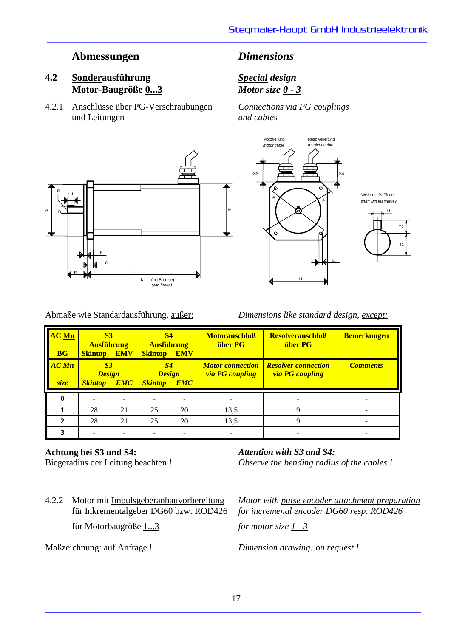# **Abmessungen** *Dimensions*

# **4.2 Sonderausführung** *Special design* **Motor-Baugröße 0...3** *Motor size 0 - 3*

4.2.1 Anschlüsse über PG-Verschraubungen *Connections via PG couplings* und Leitungen *and cables*

**\_\_\_\_\_\_\_\_\_\_\_\_\_\_\_\_\_\_\_\_\_\_\_\_\_\_\_\_\_\_\_\_\_\_\_\_\_\_\_\_\_\_\_\_\_\_\_\_\_\_\_\_\_\_\_\_\_\_\_\_\_\_\_\_\_\_\_\_\_\_\_\_\_\_\_\_\_\_\_\_\_\_\_\_\_\_\_\_\_\_\_**

Motorleitung Resolverleitung





*shaft with featherkey*



Abmaße wie Standardausführung, außer: *Dimensions like standard design, except:*

| <b>AC Mn</b><br><b>BG</b> | <b>S3</b><br><b>Ausführung</b><br><b>EMV</b><br><b>Skintop</b>  |    | <b>S4</b><br><b>Ausführung</b><br><b>EMV</b><br><b>Skintop</b>  |   | <b>Motoranschluß</b><br><b>über PG</b>                                                                    | <b>Resolveranschluß</b><br><b>über PG</b> | <b>Bemerkungen</b> |  |
|---------------------------|-----------------------------------------------------------------|----|-----------------------------------------------------------------|---|-----------------------------------------------------------------------------------------------------------|-------------------------------------------|--------------------|--|
| <b>AC</b> Mn<br>size      | S <sub>3</sub><br><b>Design</b><br><b>EMC</b><br><b>Skintop</b> |    | S <sub>4</sub><br><b>Design</b><br><b>EMC</b><br><b>Skintop</b> |   | <b>Resolver connection</b><br><b>Motor</b> connection<br><b>via PG</b> coupling<br><b>via PG</b> coupling |                                           | <b>Comments</b>    |  |
|                           |                                                                 |    |                                                                 |   |                                                                                                           |                                           |                    |  |
|                           | 28<br>25<br>20<br>21                                            |    | 13,5                                                            | Q |                                                                                                           |                                           |                    |  |
| $\mathbf{2}$              | 28                                                              | 21 | 20<br>25                                                        |   | 13,5                                                                                                      | q                                         |                    |  |
|                           |                                                                 |    |                                                                 |   |                                                                                                           |                                           |                    |  |

### **Achtung bei S3 und S4:**

Biegeradius der Leitung beachten !

für Motorbaugröße 1...3 *for motor size 1 - 3*

*Attention with S3 and S4: Observe the bending radius of the cables !*

4.2.2 Motor mit Impulsgeberanbauvorbereitung *Motor with pulse encoder attachment preparation* für Inkrementalgeber DG60 bzw. ROD426 *for incremenal encoder DG60 resp. ROD426*

Maßzeichnung: auf Anfrage ! *Dimension drawing: on request !*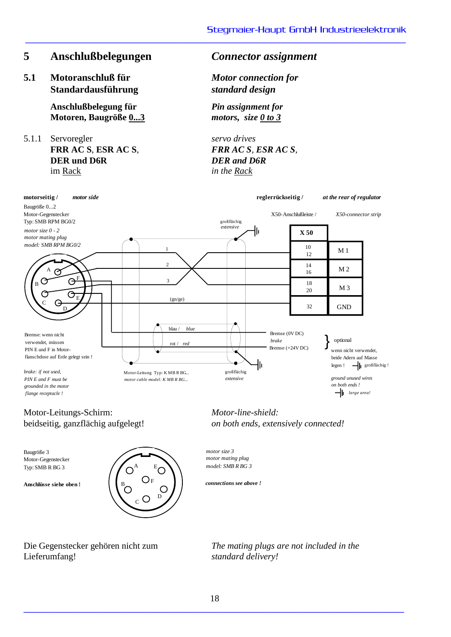# **5 Anschlußbelegungen** *Connector assignment*

**5.1 Motoranschluß für** *Motor connection for* **Standardausführung** *standard design*

**Anschlußbelegung für** *Pin assignment for*  **Motoren, Baugröße 0...3** *motors, size 0 to 3*

5.1.1 Servoregler *servo drives*  **FRR AC S**, **ESR AC S**, *FRR AC S, ESR AC S,*  **DER und D6R** *DER and D6R* im Rack *in the Rack*

**\_\_\_\_\_\_\_\_\_\_\_\_\_\_\_\_\_\_\_\_\_\_\_\_\_\_\_\_\_\_\_\_\_\_\_\_\_\_\_\_\_\_\_\_\_\_\_\_\_\_\_\_\_\_\_\_\_\_\_\_\_\_\_\_\_\_\_\_\_\_\_\_\_\_\_\_\_\_\_\_\_\_\_\_\_\_\_\_\_\_\_**



A B C D  $E_{\bigcirc}$ F Motor-Gegenstecker Typ: SMB R BG 3 Baugröße 3 *motor size 3* **Anschlüsse siehe oben !**  $\begin{pmatrix} B & C & C \\ C & C & D \end{pmatrix}$  *connections see above !* 

*motor mating plug model: SMB R BG 3*

Lieferumfang! *standard delivery!*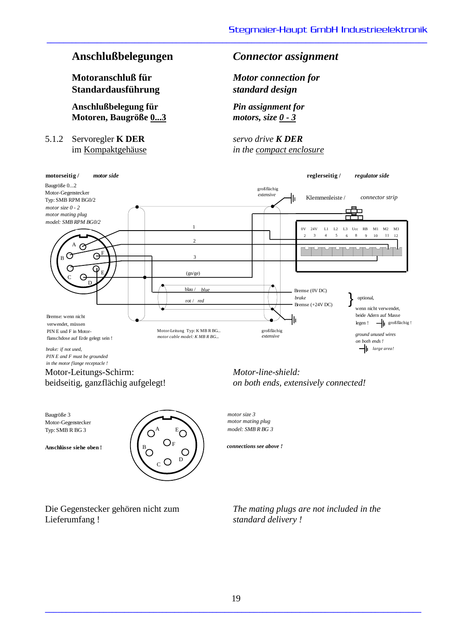**Motoranschluß für** *Motor connection for* **Standardausführung** *standard design*

**Anschlußbelegung für** *Pin assignment for*  **Motoren, Baugröße 0...3** *motors, size 0 - 3*

5.1.2 Servoregler **K DER** *servo drive K DER*

# **Anschlußbelegungen** *Connector assignment*

**\_\_\_\_\_\_\_\_\_\_\_\_\_\_\_\_\_\_\_\_\_\_\_\_\_\_\_\_\_\_\_\_\_\_\_\_\_\_\_\_\_\_\_\_\_\_\_\_\_\_\_\_\_\_\_\_\_\_\_\_\_\_\_\_\_\_\_\_\_\_\_\_\_\_\_\_\_\_\_\_\_\_\_\_\_\_\_\_\_\_\_**

im Kompaktgehäuse *in the compact enclosure*



beidseitig, ganzflächig aufgelegt! *on both ends, extensively connected!*

Motor-Gegenstecker Typ: SMB R BG 3



Lieferumfang ! *standard delivery !*

*motor mating plug model: SMB R BG 3*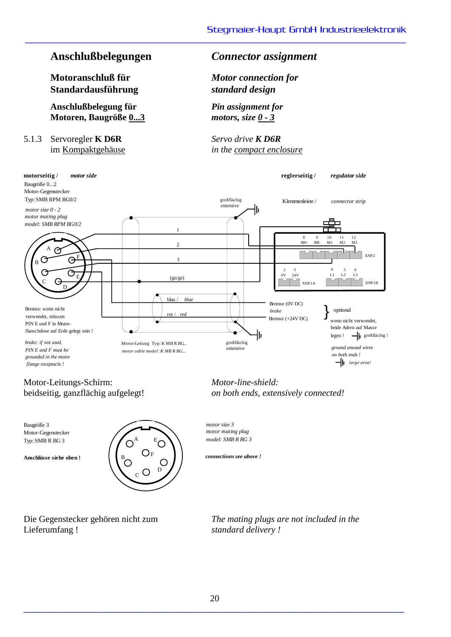# **Anschlußbelegungen** *Connector assignment*

**Motoranschluß für** *Motor connection for* **Standardausführung** *standard design*

**Anschlußbelegung für** *Pin assignment for*  **Motoren, Baugröße 0...3** *motors, size 0 - 3*

5.1.3 Servoregler **K D6R** *Servo drive K D6R*

**\_\_\_\_\_\_\_\_\_\_\_\_\_\_\_\_\_\_\_\_\_\_\_\_\_\_\_\_\_\_\_\_\_\_\_\_\_\_\_\_\_\_\_\_\_\_\_\_\_\_\_\_\_\_\_\_\_\_\_\_\_\_\_\_\_\_\_\_\_\_\_\_\_\_\_\_\_\_\_\_\_\_\_\_\_\_\_\_\_\_\_**

im Kompaktgehäuse *in the compact enclosure*



Motor-Leitungs-Schirm: *Motor-line-shield:*

Motor-Gegenstecker Typ: SMB R BG 3



Lieferumfang ! *standard delivery !*

beidseitig, ganzflächig aufgelegt! *on both ends, extensively connected!*

*motor mating plug model: SMB R BG 3*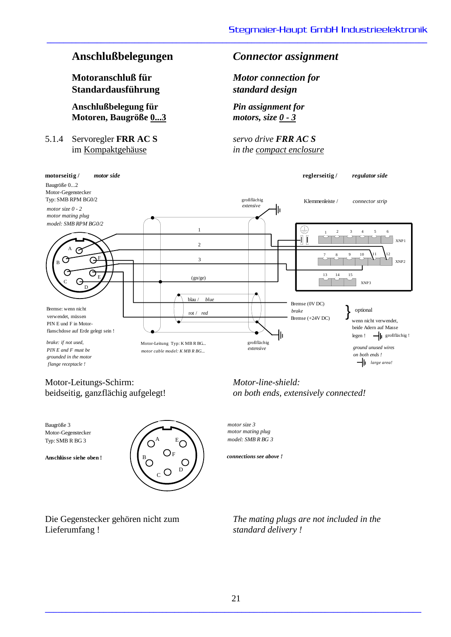**Motoranschluß für** *Motor connection for* **Standardausführung** *standard design*

**Anschlußbelegung für** *Pin assignment for*  **Motoren, Baugröße 0...3** *motors, size 0 - 3*

5.1.4 Servoregler **FRR AC S** *servo drive FRR AC S*

# **Anschlußbelegungen** *Connector assignment*

**\_\_\_\_\_\_\_\_\_\_\_\_\_\_\_\_\_\_\_\_\_\_\_\_\_\_\_\_\_\_\_\_\_\_\_\_\_\_\_\_\_\_\_\_\_\_\_\_\_\_\_\_\_\_\_\_\_\_\_\_\_\_\_\_\_\_\_\_\_\_\_\_\_\_\_\_\_\_\_\_\_\_\_\_\_\_\_\_\_\_\_**

im Kompaktgehäuse *in the compact enclosure*



# Motor-Leitungs-Schirm: *Motor-line-shield:*

Motor-Gegenstecker Typ: SMB R BG 3



Lieferumfang ! *standard delivery !*

beidseitig, ganzflächig aufgelegt! *on both ends, extensively connected!*

*motor mating plug model: SMB R BG 3*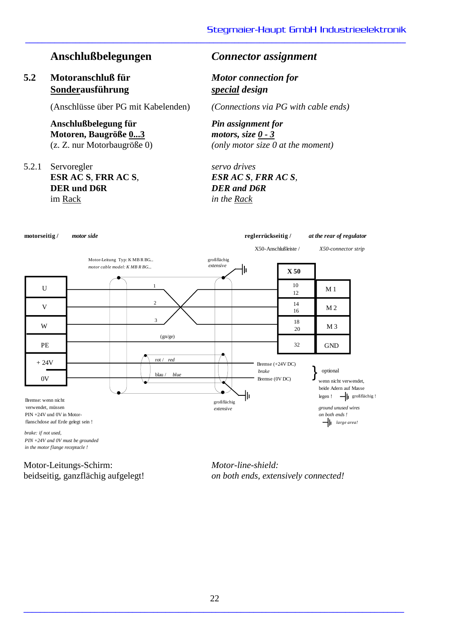# **Anschlußbelegungen** *Connector assignment*

# **5.2 Motoranschluß für** *Motor connection for* **Sonderausführung** *special design*

(Anschlüsse über PG mit Kabelenden) *(Connections via PG with cable ends)*

**Anschlußbelegung für** *Pin assignment for*  **Motoren, Baugröße 0...3** *motors, size 0 - 3*

5.2.1 Servoregler *servo drives*  **ESR AC S**, **FRR AC S**, *ESR AC S, FRR AC S,* **DER und D6R** *DER and D6R* im Rack *in the Rack*

**\_\_\_\_\_\_\_\_\_\_\_\_\_\_\_\_\_\_\_\_\_\_\_\_\_\_\_\_\_\_\_\_\_\_\_\_\_\_\_\_\_\_\_\_\_\_\_\_\_\_\_\_\_\_\_\_\_\_\_\_\_\_\_\_\_\_\_\_\_\_\_\_\_\_\_\_\_\_\_\_\_\_\_\_\_\_\_\_\_\_\_**

(z. Z. nur Motorbaugröße 0) *(only motor size 0 at the moment)*



Motor-Leitungs-Schirm: *Motor-line-shield:*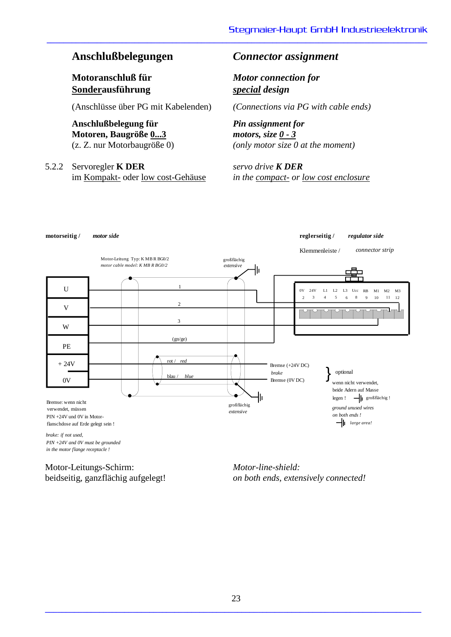**Sonderausführung** *special design*

(Anschlüsse über PG mit Kabelenden) *(Connections via PG with cable ends)*

# **Anschlußbelegung für** *Pin assignment for*  **Motoren, Baugröße 0...3** *motors, size 0 - 3*

5.2.2 Servoregler **K DER** *servo drive K DER*

# **Anschlußbelegungen** *Connector assignment*

**Motoranschluß für** *Motor connection for*

**\_\_\_\_\_\_\_\_\_\_\_\_\_\_\_\_\_\_\_\_\_\_\_\_\_\_\_\_\_\_\_\_\_\_\_\_\_\_\_\_\_\_\_\_\_\_\_\_\_\_\_\_\_\_\_\_\_\_\_\_\_\_\_\_\_\_\_\_\_\_\_\_\_\_\_\_\_\_\_\_\_\_\_\_\_\_\_\_\_\_\_**

(z. Z. nur Motorbaugröße 0) *(only motor size 0 at the moment)*

im Kompakt- oder low cost-Gehäuse *in the compact- or low cost enclosure*



*in the motor flange receptacle !*

Motor-Leitungs-Schirm: *Motor-line-shield:*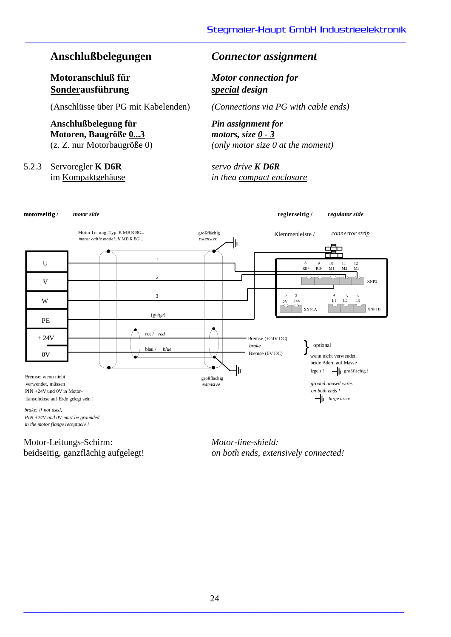# **Anschlußbelegungen** *Connector assignment*

**Sonderausführung** *special design*

(Anschlüsse über PG mit Kabelenden) *(Connections via PG with cable ends)*

**Anschlußbelegung für** *Pin assignment for*  **Motoren, Baugröße 0...3** *motors, size 0 - 3*

# 5.2.3 Servoregler **K D6R** *servo drive K D6R*

**Motoranschluß für** *Motor connection for*

**\_\_\_\_\_\_\_\_\_\_\_\_\_\_\_\_\_\_\_\_\_\_\_\_\_\_\_\_\_\_\_\_\_\_\_\_\_\_\_\_\_\_\_\_\_\_\_\_\_\_\_\_\_\_\_\_\_\_\_\_\_\_\_\_\_\_\_\_\_\_\_\_\_\_\_\_\_\_\_\_\_\_\_\_\_\_\_\_\_\_\_**

(z. Z. nur Motorbaugröße 0) *(only motor size 0 at the moment)*

im Kompaktgehäuse *in thea compact enclosure*



Motor-Leitungs-Schirm: *Motor-line-shield:*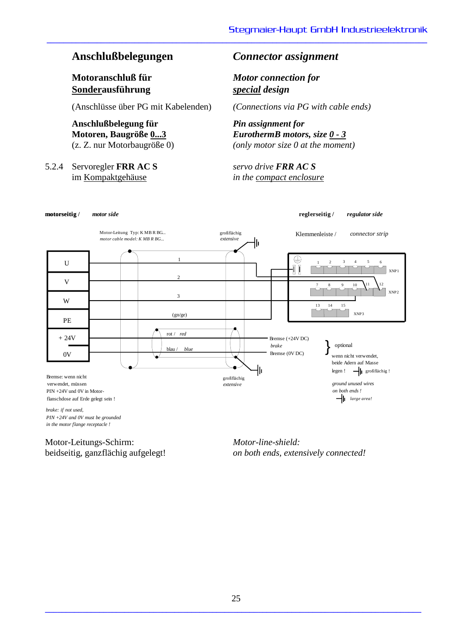**Sonderausführung** *special design*

(Anschlüsse über PG mit Kabelenden) *(Connections via PG with cable ends)*

# **Anschlußbelegung für** *Pin assignment for*

5.2.4 Servoregler **FRR AC S** *servo drive FRR AC S*

# **Anschlußbelegungen** *Connector assignment*

**Motoranschluß für** *Motor connection for*

**\_\_\_\_\_\_\_\_\_\_\_\_\_\_\_\_\_\_\_\_\_\_\_\_\_\_\_\_\_\_\_\_\_\_\_\_\_\_\_\_\_\_\_\_\_\_\_\_\_\_\_\_\_\_\_\_\_\_\_\_\_\_\_\_\_\_\_\_\_\_\_\_\_\_\_\_\_\_\_\_\_\_\_\_\_\_\_\_\_\_\_**

**Motoren, Baugröße 0...3** *EurothermB motors, size 0 - 3* (z. Z. nur Motorbaugröße 0) *(only motor size 0 at the moment)*

im Kompaktgehäuse *in the compact enclosure*



*in the motor flange receptacle !*

Motor-Leitungs-Schirm: *Motor-line-shield:*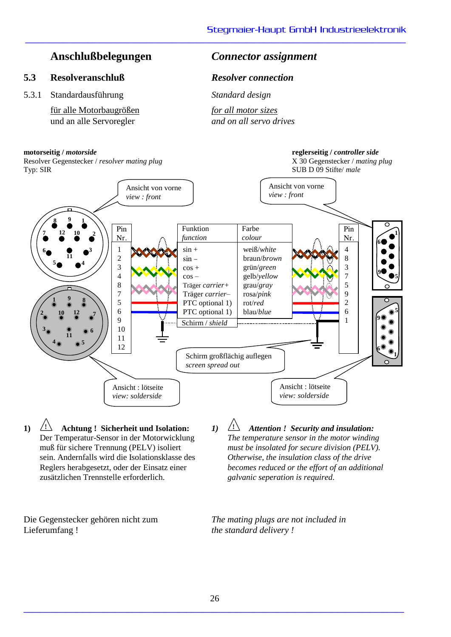## **5.3 Resolveranschluß** *Resolver connection*

5.3.1 Standardausführung *Standard design*

für alle Motorbaugrößen *for all motor sizes* und an alle Servoregler *and on all servo drives*

### **motorseitig /** *motorside* **reglerseitig /** *controller side*

# **Anschlußbelegungen** *Connector assignment*

**\_\_\_\_\_\_\_\_\_\_\_\_\_\_\_\_\_\_\_\_\_\_\_\_\_\_\_\_\_\_\_\_\_\_\_\_\_\_\_\_\_\_\_\_\_\_\_\_\_\_\_\_\_\_\_\_\_\_\_\_\_\_\_\_\_\_\_\_\_\_\_\_\_\_\_\_\_\_\_\_\_\_\_\_\_\_\_\_\_\_\_**



**1) ! Achtung ! Sicherheit und Isolation:** Der Temperatur-Sensor in der Motorwicklung muß für sichere Trennung (PELV) isoliert sein. Andernfalls wird die Isolationsklasse des Reglers herabgesetzt, oder der Einsatz einer zusätzlichen Trennstelle erforderlich.

Lieferumfang ! *the standard delivery !*

*1)* **!** *Attention ! Security and insulation: The temperature sensor in the motor winding must be insolated for secure division (PELV). Otherwise, the insulation class of the drive becomes reduced or the effort of an additional galvanic seperation is required.*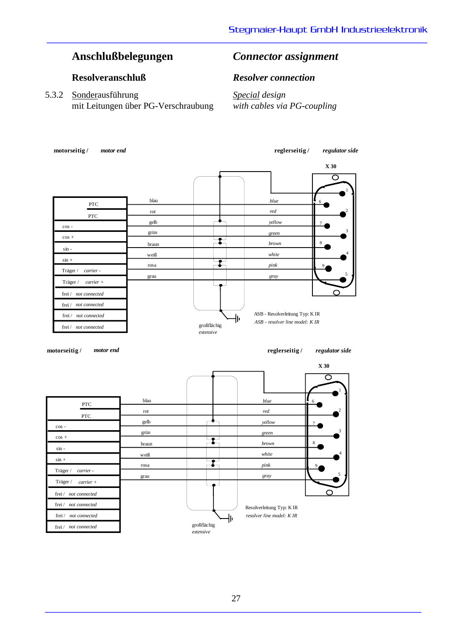# **Anschlußbelegungen** *Connector assignment*

5.3.2 Sonderausführung *Special design* mit Leitungen über PG-Verschraubung *with cables via PG-coupling*

### **Resolveranschluß** *Resolver connection*

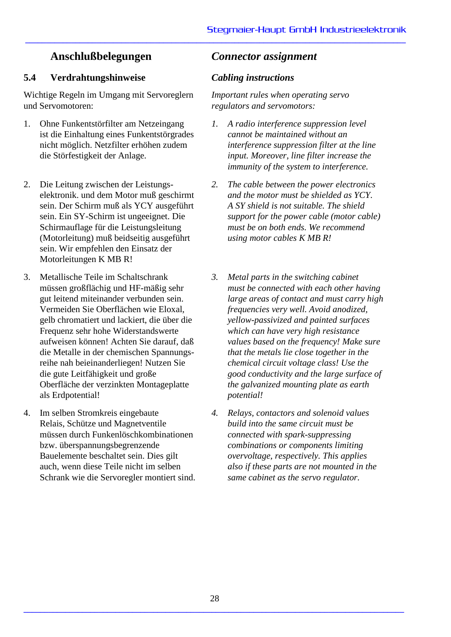# **5.4 Verdrahtungshinweise** *Cabling instructions*

Wichtige Regeln im Umgang mit Servoreglern und Servomotoren:

- 1. Ohne Funkentstörfilter am Netzeingang ist die Einhaltung eines Funkentstörgrades nicht möglich. Netzfilter erhöhen zudem die Störfestigkeit der Anlage.
- 2. Die Leitung zwischen der Leistungselektronik. und dem Motor muß geschirmt sein. Der Schirm muß als YCY ausgeführt sein. Ein SY-Schirm ist ungeeignet. Die Schirmauflage für die Leistungsleitung (Motorleitung) muß beidseitig ausgeführt sein. Wir empfehlen den Einsatz der Motorleitungen K MB R!
- 3. Metallische Teile im Schaltschrank müssen großflächig und HF-mäßig sehr gut leitend miteinander verbunden sein. Vermeiden Sie Oberflächen wie Eloxal, gelb chromatiert und lackiert, die über die Frequenz sehr hohe Widerstandswerte aufweisen können! Achten Sie darauf, daß die Metalle in der chemischen Spannungsreihe nah beieinanderliegen! Nutzen Sie die gute Leitfähigkeit und große Oberfläche der verzinkten Montageplatte als Erdpotential!
- 4. Im selben Stromkreis eingebaute Relais, Schütze und Magnetventile müssen durch Funkenlöschkombinationen bzw. überspannungsbegrenzende Bauelemente beschaltet sein. Dies gilt auch, wenn diese Teile nicht im selben Schrank wie die Servoregler montiert sind.

# **Anschlußbelegungen** *Connector assignment*

**\_\_\_\_\_\_\_\_\_\_\_\_\_\_\_\_\_\_\_\_\_\_\_\_\_\_\_\_\_\_\_\_\_\_\_\_\_\_\_\_\_\_\_\_\_\_\_\_\_\_\_\_\_\_\_\_\_\_\_\_\_\_\_\_\_\_\_\_\_\_\_\_\_\_\_\_\_\_\_\_\_\_\_\_\_\_\_\_\_\_\_**

*Important rules when operating servo regulators and servomotors:*

- *1. A radio interference suppression level cannot be maintained without an interference suppression filter at the line input. Moreover, line filter increase the immunity of the system to interference.*
- *2. The cable between the power electronics and the motor must be shielded as YCY. A SY shield is not suitable. The shield support for the power cable (motor cable) must be on both ends. We recommend using motor cables K MB R!*
- *3. Metal parts in the switching cabinet must be connected with each other having large areas of contact and must carry high frequencies very well. Avoid anodized, yellow-passivized and painted surfaces which can have very high resistance values based on the frequency! Make sure that the metals lie close together in the chemical circuit voltage class! Use the good conductivity and the large surface of the galvanized mounting plate as earth potential!*
- *4. Relays, contactors and solenoid values build into the same circuit must be connected with spark-suppressing combinations or components limiting overvoltage, respectively. This applies also if these parts are not mounted in the same cabinet as the servo regulator.*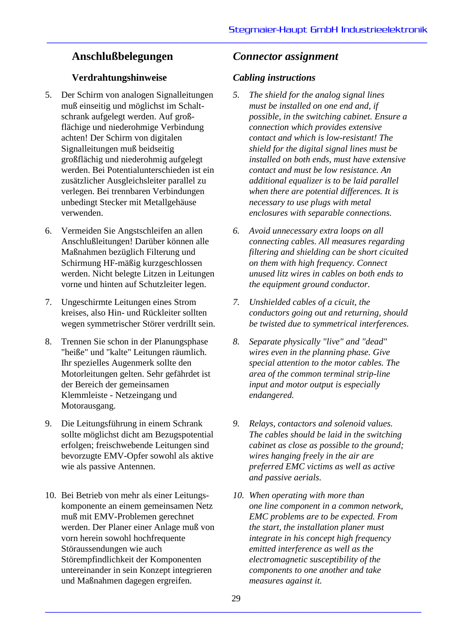# **Verdrahtungshinweise** *Cabling instructions*

- 5. Der Schirm von analogen Signalleitungen muß einseitig und möglichst im Schaltschrank aufgelegt werden. Auf großflächige und niederohmige Verbindung achten! Der Schirm von digitalen Signalleitungen muß beidseitig großflächig und niederohmig aufgelegt werden. Bei Potentialunterschieden ist ein zusätzlicher Ausgleichsleiter parallel zu verlegen. Bei trennbaren Verbindungen unbedingt Stecker mit Metallgehäuse verwenden.
- 6. Vermeiden Sie Angstschleifen an allen Anschlußleitungen! Darüber können alle Maßnahmen bezüglich Filterung und Schirmung HF-mäßig kurzgeschlossen werden. Nicht belegte Litzen in Leitungen vorne und hinten auf Schutzleiter legen.
- 7. Ungeschirmte Leitungen eines Strom kreises, also Hin- und Rückleiter sollten wegen symmetrischer Störer verdrillt sein.
- 8. Trennen Sie schon in der Planungsphase "heiße" und "kalte" Leitungen räumlich. Ihr spezielles Augenmerk sollte den Motorleitungen gelten. Sehr gefährdet ist der Bereich der gemeinsamen Klemmleiste - Netzeingang und Motorausgang.
- 9. Die Leitungsführung in einem Schrank sollte möglichst dicht am Bezugspotential erfolgen; freischwebende Leitungen sind bevorzugte EMV-Opfer sowohl als aktive wie als passive Antennen.
- 10. Bei Betrieb von mehr als einer Leitungskomponente an einem gemeinsamen Netz muß mit EMV-Problemen gerechnet werden. Der Planer einer Anlage muß von vorn herein sowohl hochfrequente Störaussendungen wie auch Störempfindlichkeit der Komponenten untereinander in sein Konzept integrieren und Maßnahmen dagegen ergreifen.

# **Anschlußbelegungen** *Connector assignment*

- *5. The shield for the analog signal lines must be installed on one end and, if possible, in the switching cabinet. Ensure a connection which provides extensive contact and which is low-resistant! The shield for the digital signal lines must be installed on both ends, must have extensive contact and must be low resistance. An additional equalizer is to be laid parallel when there are potential differences. It is necessary to use plugs with metal enclosures with separable connections.*
- *6. Avoid unnecessary extra loops on all connecting cables. All measures regarding filtering and shielding can be short cicuited on them with high frequency. Connect unused litz wires in cables on both ends to the equipment ground conductor.*
- *7. Unshielded cables of a cicuit, the conductors going out and returning, should be twisted due to symmetrical interferences.*
- *8. Separate physically "live" and "dead" wires even in the planning phase. Give special attention to the motor cables. The area of the common terminal strip-line input and motor output is especially endangered.*
- *9. Relays, contactors and solenoid values. The cables should be laid in the switching cabinet as close as possible to the ground; wires hanging freely in the air are preferred EMC victims as well as active and passive aerials.*
- *10. When operating with more than one line component in a common network, EMC problems are to be expected. From the start, the installation planer must integrate in his concept high frequency emitted interference as well as the electromagnetic susceptibility of the components to one another and take measures against it.*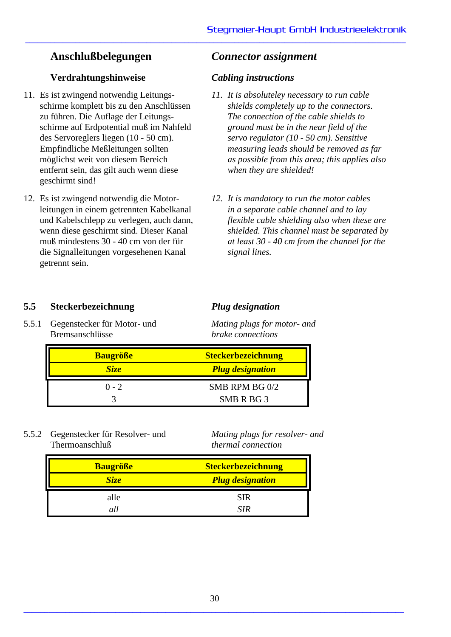# **Verdrahtungshinweise** *Cabling instructions*

- 11. Es ist zwingend notwendig Leitungsschirme komplett bis zu den Anschlüssen zu führen. Die Auflage der Leitungsschirme auf Erdpotential muß im Nahfeld des Servoreglers liegen (10 - 50 cm). Empfindliche Meßleitungen sollten möglichst weit von diesem Bereich entfernt sein, das gilt auch wenn diese geschirmt sind!
- 12. Es ist zwingend notwendig die Motorleitungen in einem getrennten Kabelkanal und Kabelschlepp zu verlegen, auch dann, wenn diese geschirmt sind. Dieser Kanal muß mindestens 30 - 40 cm von der für die Signalleitungen vorgesehenen Kanal getrennt sein.

# **Anschlußbelegungen** *Connector assignment*

**\_\_\_\_\_\_\_\_\_\_\_\_\_\_\_\_\_\_\_\_\_\_\_\_\_\_\_\_\_\_\_\_\_\_\_\_\_\_\_\_\_\_\_\_\_\_\_\_\_\_\_\_\_\_\_\_\_\_\_\_\_\_\_\_\_\_\_\_\_\_\_\_\_\_\_\_\_\_\_\_\_\_\_\_\_\_\_\_\_\_\_**

- *11. It is absoluteley necessary to run cable shields completely up to the connectors. The connection of the cable shields to ground must be in the near field of the servo regulator (10 - 50 cm). Sensitive measuring leads should be removed as far as possible from this area; this applies also when they are shielded!*
- *12. It is mandatory to run the motor cables in a separate cable channel and to lay flexible cable shielding also when these are shielded. This channel must be separated by at least 30 - 40 cm from the channel for the signal lines.*

# **5.5 Steckerbezeichnung** *Plug designation*

5.5.1 Gegenstecker für Motor- und *Mating plugs for motor- and* Bremsanschlüsse *brake connections*

| <b>Baugröße</b>  | <b>Steckerbezeichnung</b> |  |  |  |  |
|------------------|---------------------------|--|--|--|--|
| Size <sup></sup> | <b>Plug designation</b>   |  |  |  |  |
| $0 - 2$          | SMB RPM BG 0/2            |  |  |  |  |
|                  | SMB R BG 3                |  |  |  |  |

5.5.2 Gegenstecker für Resolver- und *Mating plugs for resolver- and* Thermoanschluß *thermal connection*

| <b>Baugröße</b> | <b>Steckerbezeichnung</b> |
|-----------------|---------------------------|
| Size            | <b>Plug designation</b>   |
| alle            | <b>SIR</b>                |
|                 | 7 T E                     |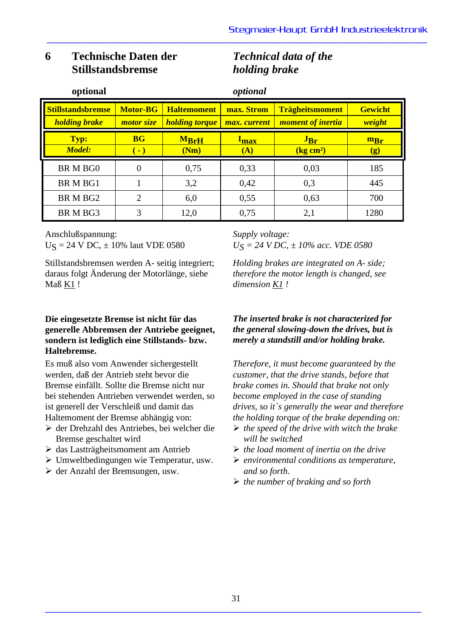# **6 Technische Daten der** *Technical data of the* **Stillstandsbremse** *holding brake*

| optional                                         |                                           |                                             | optional                      |                                                     |                          |
|--------------------------------------------------|-------------------------------------------|---------------------------------------------|-------------------------------|-----------------------------------------------------|--------------------------|
| <b>Stillstandsbremse</b><br><b>holding brake</b> | <b>Motor-BG</b><br>motor size             | <b>Haltemoment</b><br><b>holding torque</b> | max. Strom<br>max. current    | <b>Trägheitsmoment</b><br><i>moment of inertia</i>  | <b>Gewicht</b><br>weight |
| Typ:<br><b>Model:</b>                            | <b>BG</b><br>$(\textcolor{red}{\bullet})$ | <b>MBrH</b><br>(Nm)                         | <u>I<sub>max</sub></u><br>(A) | $J_{\text{Br}}$<br>$\left( \mathrm{kg~cm^2}\right)$ | $m_{Br}$<br>(g)          |
| BR M BG0                                         | $\theta$                                  | 0,75                                        | 0,33                          | 0,03                                                | 185                      |
| <b>BRMBG1</b>                                    |                                           | 3,2                                         | 0,42                          | 0,3                                                 | 445                      |
| BR M BG2                                         | $\overline{2}$                            | 6,0                                         | 0,55                          | 0,63                                                | 700                      |
| BR M BG3                                         | 3                                         | 12,0                                        | 0,75                          | 2,1                                                 | 1280                     |

**\_\_\_\_\_\_\_\_\_\_\_\_\_\_\_\_\_\_\_\_\_\_\_\_\_\_\_\_\_\_\_\_\_\_\_\_\_\_\_\_\_\_\_\_\_\_\_\_\_\_\_\_\_\_\_\_\_\_\_\_\_\_\_\_\_\_\_\_\_\_\_\_\_\_\_\_\_\_\_\_\_\_\_\_\_\_\_\_\_\_\_**

Anschlußspannung:  $U_s = 24$  V DC,  $\pm 10\%$  laut VDE 0580

Stillstandsbremsen werden A- seitig integriert; daraus folgt Änderung der Motorlänge, siehe Maß $K1$ !

## **Die eingesetzte Bremse ist nicht für das generelle Abbremsen der Antriebe geeignet, sondern ist lediglich eine Stillstands- bzw. Haltebremse.**

Es muß also vom Anwender sichergestellt werden, daß der Antrieb steht bevor die Bremse einfällt. Sollte die Bremse nicht nur bei stehenden Antrieben verwendet werden, so ist generell der Verschleiß und damit das Haltemoment der Bremse abhängig von:

- der Drehzahl des Antriebes, bei welcher die Bremse geschaltet wird
- das Lastträgheitsmoment am Antrieb
- Umweltbedingungen wie Temperatur, usw.
- der Anzahl der Bremsungen, usw.

*Supply voltage: US = 24 V DC, ± 10% acc. VDE 0580*

*Holding brakes are integrated on A- side; therefore the motor length is changed, see dimension K1 !*

## *The inserted brake is not characterized for the general slowing-down the drives, but is merely a standstill and/or holding brake.*

*Therefore, it must become guaranteed by the customer, that the drive stands, before that brake comes in. Should that brake not only become employed in the case of standing drives, so it`s generally the wear and therefore the holding torque of the brake depending on:*

- *the speed of the drive with witch the brake will be switched*
- *the load moment of inertia on the drive*
- *environmental conditions as temperature, and so forth.*
- *the number of braking and so forth*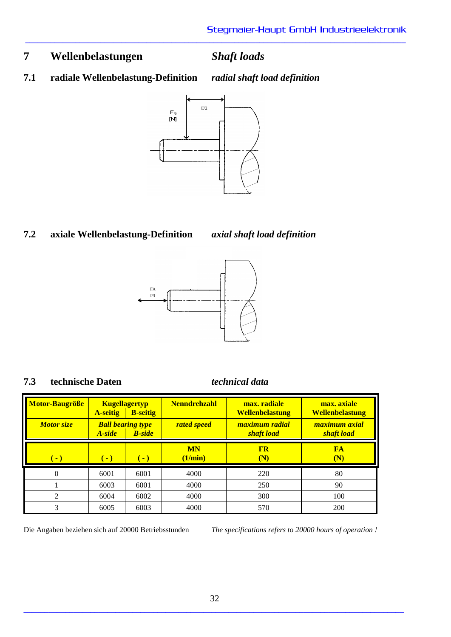# **7 Wellenbelastungen** *Shaft loads*

**\_\_\_\_\_\_\_\_\_\_\_\_\_\_\_\_\_\_\_\_\_\_\_\_\_\_\_\_\_\_\_\_\_\_\_\_\_\_\_\_\_\_\_\_\_\_\_\_\_\_\_\_\_\_\_\_\_\_\_\_\_\_\_\_\_\_\_\_\_\_\_\_\_\_\_\_\_\_\_\_\_\_\_\_\_\_\_\_\_\_\_**

**7.1 radiale Wellenbelastung-Definition** *radial shaft load definition*



# **7.2 axiale Wellenbelastung-Definition** *axial shaft load definition*



# **7.3 technische Daten** *technical data*

| Motor-Baugröße                 | <b>A-seitig</b>                                      | <b>Kugellagertyp</b><br><b>B</b> -seitig | <b>Nenndrehzahl</b>  | max. radiale<br><b>Wellenbelastung</b> | max. axiale<br><b>Wellenbelastung</b> |  |
|--------------------------------|------------------------------------------------------|------------------------------------------|----------------------|----------------------------------------|---------------------------------------|--|
| <b>Motor size</b>              | <b>Ball bearing type</b><br><b>B</b> -side<br>A-side |                                          | <b>rated speed</b>   | maximum radial<br><b>shaft</b> load    | maximum axial<br>shaft load           |  |
| <b>CO</b>                      | $\overline{\phantom{0}}$                             | $(-)$                                    | <b>MN</b><br>(1/min) | <b>FR</b><br>(N)                       | FA<br>(N)                             |  |
| 0                              | 6001                                                 | 6001                                     | 4000                 | 220                                    | 80                                    |  |
|                                | 6003                                                 | 6001                                     | 4000                 | 250                                    | 90                                    |  |
| $\mathfrak{D}$<br>6004<br>6002 |                                                      |                                          | 4000                 | 300                                    | 100                                   |  |
| 3                              | 6005                                                 | 6003                                     | 4000                 | 570                                    | 200                                   |  |

Die Angaben beziehen sich auf 20000 Betriebsstunden *The specifications refers to 20000 hours of operation !*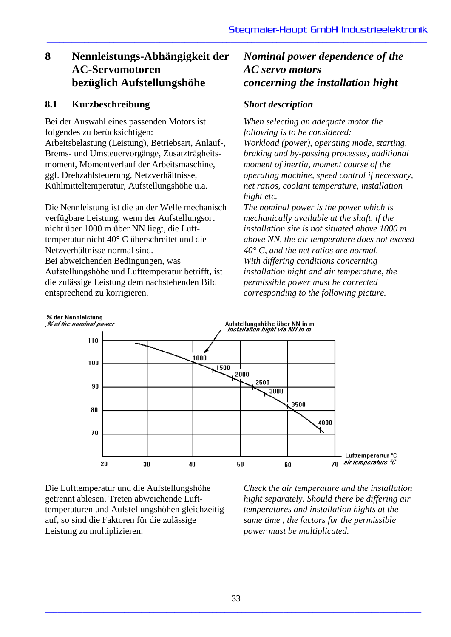# **8 Nennleistungs-Abhängigkeit der** *Nominal power dependence of the* **AC-Servomotoren** *AC servo motors* **bezüglich Aufstellungshöhe** *concerning the installation hight*

# **8.1 Kurzbeschreibung** *Short description*

Bei der Auswahl eines passenden Motors ist folgendes zu berücksichtigen:

Arbeitsbelastung (Leistung), Betriebsart, Anlauf-, Brems- und Umsteuervorgänge, Zusatzträgheitsmoment, Momentverlauf der Arbeitsmaschine, ggf. Drehzahlsteuerung, Netzverhältnisse, Kühlmitteltemperatur, Aufstellungshöhe u.a.

Die Nennleistung ist die an der Welle mechanisch verfügbare Leistung, wenn der Aufstellungsort nicht über 1000 m über NN liegt, die Lufttemperatur nicht 40° C überschreitet und die Netzverhältnisse normal sind. Bei abweichenden Bedingungen, was Aufstellungshöhe und Lufttemperatur betrifft, ist die zulässige Leistung dem nachstehenden Bild entsprechend zu korrigieren.

**\_\_\_\_\_\_\_\_\_\_\_\_\_\_\_\_\_\_\_\_\_\_\_\_\_\_\_\_\_\_\_\_\_\_\_\_\_\_\_\_\_\_\_\_\_\_\_\_\_\_\_\_\_\_\_\_\_\_\_\_\_\_\_\_\_\_\_\_\_\_\_\_\_\_\_\_\_\_\_\_\_\_\_\_\_\_\_\_\_\_\_**

*When selecting an adequate motor the following is to be considered: Workload (power), operating mode, starting, braking and by-passing processes, additional moment of inertia, moment course of the operating machine, speed control if necessary, net ratios, coolant temperature, installation hight etc.*

*The nominal power is the power which is mechanically available at the shaft, if the installation site is not situated above 1000 m above NN, the air temperature does not exceed 40° C, and the net ratios are normal. With differing conditions concerning installation hight and air temperature, the permissible power must be corrected corresponding to the following picture.*



Die Lufttemperatur und die Aufstellungshöhe getrennt ablesen. Treten abweichende Lufttemperaturen und Aufstellungshöhen gleichzeitig auf, so sind die Faktoren für die zulässige Leistung zu multiplizieren.

*Check the air temperature and the installation hight separately. Should there be differing air temperatures and installation hights at the same time , the factors for the permissible power must be multiplicated.*